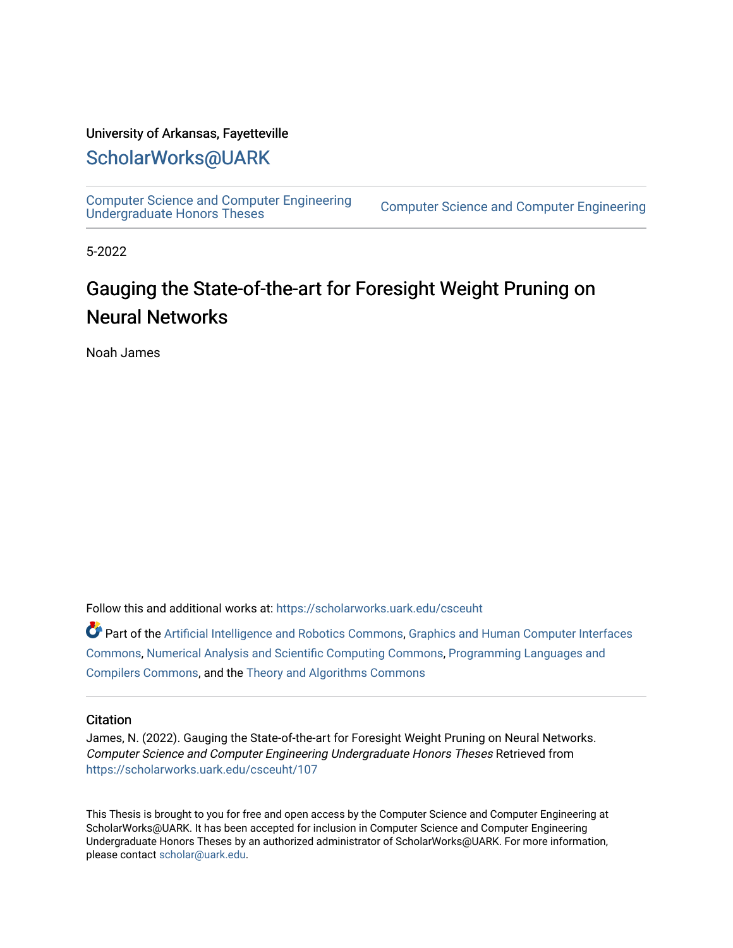## University of Arkansas, Fayetteville

# [ScholarWorks@UARK](https://scholarworks.uark.edu/)

[Computer Science and Computer Engineering](https://scholarworks.uark.edu/csceuht) 

Computer Science and Computer Engineering

5-2022

# Gauging the State-of-the-art for Foresight Weight Pruning on Neural Networks

Noah James

Follow this and additional works at: [https://scholarworks.uark.edu/csceuht](https://scholarworks.uark.edu/csceuht?utm_source=scholarworks.uark.edu%2Fcsceuht%2F107&utm_medium=PDF&utm_campaign=PDFCoverPages)

Part of the [Artificial Intelligence and Robotics Commons](http://network.bepress.com/hgg/discipline/143?utm_source=scholarworks.uark.edu%2Fcsceuht%2F107&utm_medium=PDF&utm_campaign=PDFCoverPages), [Graphics and Human Computer Interfaces](http://network.bepress.com/hgg/discipline/146?utm_source=scholarworks.uark.edu%2Fcsceuht%2F107&utm_medium=PDF&utm_campaign=PDFCoverPages)  [Commons](http://network.bepress.com/hgg/discipline/146?utm_source=scholarworks.uark.edu%2Fcsceuht%2F107&utm_medium=PDF&utm_campaign=PDFCoverPages), [Numerical Analysis and Scientific Computing Commons](http://network.bepress.com/hgg/discipline/147?utm_source=scholarworks.uark.edu%2Fcsceuht%2F107&utm_medium=PDF&utm_campaign=PDFCoverPages), [Programming Languages and](http://network.bepress.com/hgg/discipline/148?utm_source=scholarworks.uark.edu%2Fcsceuht%2F107&utm_medium=PDF&utm_campaign=PDFCoverPages)  [Compilers Commons,](http://network.bepress.com/hgg/discipline/148?utm_source=scholarworks.uark.edu%2Fcsceuht%2F107&utm_medium=PDF&utm_campaign=PDFCoverPages) and the [Theory and Algorithms Commons](http://network.bepress.com/hgg/discipline/151?utm_source=scholarworks.uark.edu%2Fcsceuht%2F107&utm_medium=PDF&utm_campaign=PDFCoverPages) 

#### **Citation**

James, N. (2022). Gauging the State-of-the-art for Foresight Weight Pruning on Neural Networks. Computer Science and Computer Engineering Undergraduate Honors Theses Retrieved from [https://scholarworks.uark.edu/csceuht/107](https://scholarworks.uark.edu/csceuht/107?utm_source=scholarworks.uark.edu%2Fcsceuht%2F107&utm_medium=PDF&utm_campaign=PDFCoverPages) 

This Thesis is brought to you for free and open access by the Computer Science and Computer Engineering at ScholarWorks@UARK. It has been accepted for inclusion in Computer Science and Computer Engineering Undergraduate Honors Theses by an authorized administrator of ScholarWorks@UARK. For more information, please contact [scholar@uark.edu](mailto:scholar@uark.edu).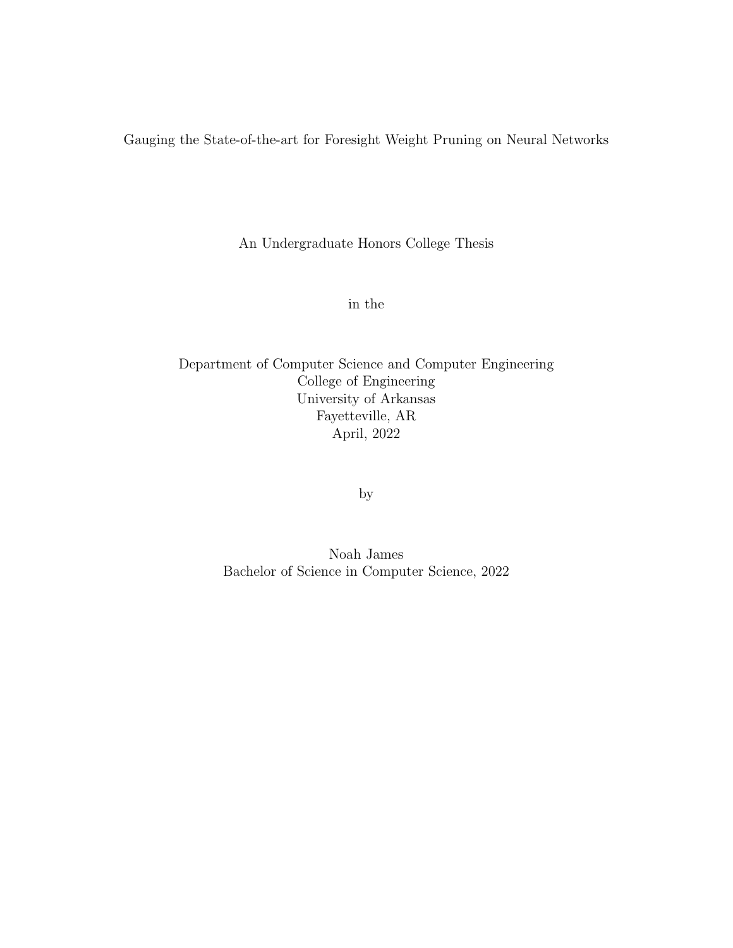Gauging the State-of-the-art for Foresight Weight Pruning on Neural Networks

An Undergraduate Honors College Thesis

in the

Department of Computer Science and Computer Engineering College of Engineering University of Arkansas Fayetteville, AR April, 2022

by

Noah James Bachelor of Science in Computer Science, 2022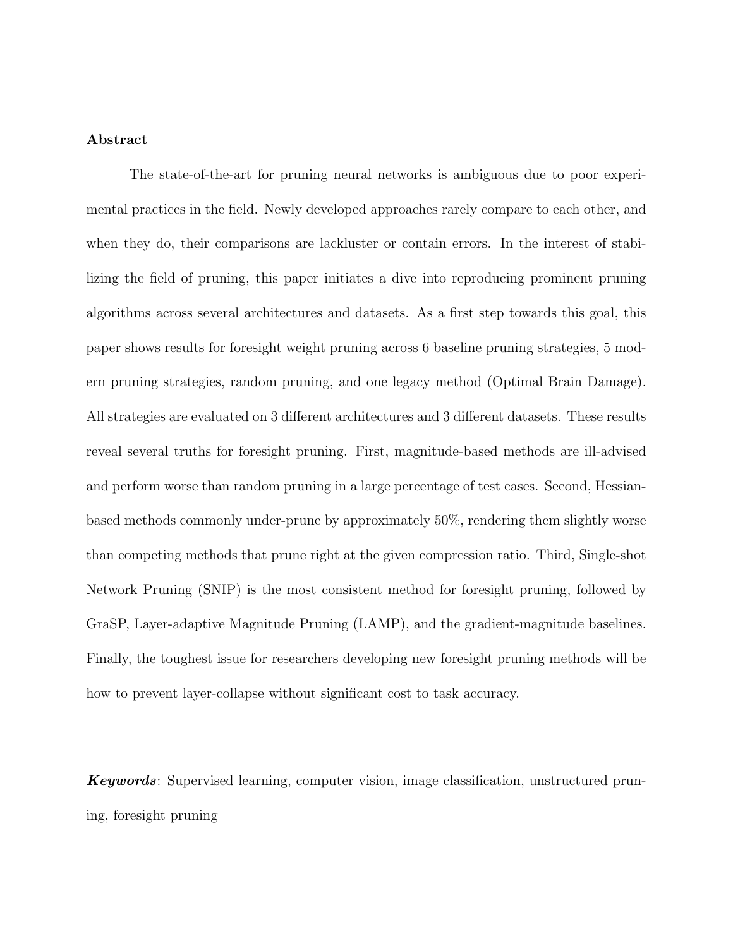### Abstract

The state-of-the-art for pruning neural networks is ambiguous due to poor experimental practices in the field. Newly developed approaches rarely compare to each other, and when they do, their comparisons are lackluster or contain errors. In the interest of stabilizing the field of pruning, this paper initiates a dive into reproducing prominent pruning algorithms across several architectures and datasets. As a first step towards this goal, this paper shows results for foresight weight pruning across 6 baseline pruning strategies, 5 modern pruning strategies, random pruning, and one legacy method (Optimal Brain Damage). All strategies are evaluated on 3 different architectures and 3 different datasets. These results reveal several truths for foresight pruning. First, magnitude-based methods are ill-advised and perform worse than random pruning in a large percentage of test cases. Second, Hessianbased methods commonly under-prune by approximately 50%, rendering them slightly worse than competing methods that prune right at the given compression ratio. Third, Single-shot Network Pruning (SNIP) is the most consistent method for foresight pruning, followed by GraSP, Layer-adaptive Magnitude Pruning (LAMP), and the gradient-magnitude baselines. Finally, the toughest issue for researchers developing new foresight pruning methods will be how to prevent layer-collapse without significant cost to task accuracy.

**Keywords**: Supervised learning, computer vision, image classification, unstructured pruning, foresight pruning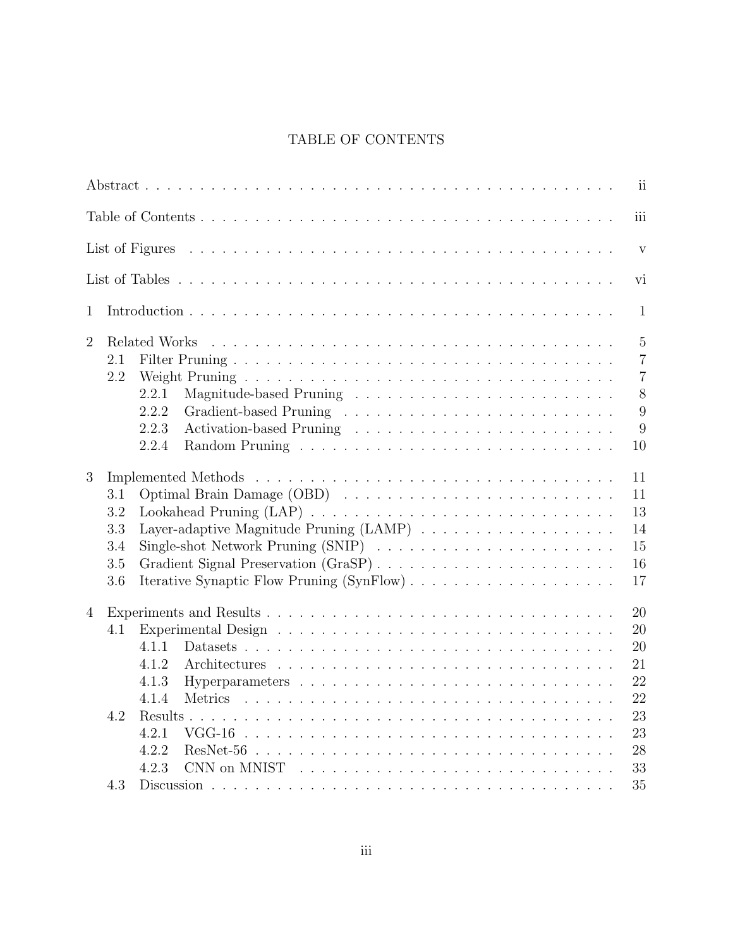# TABLE OF CONTENTS

|                                                                                                                                                                                                                | ii                                                 |
|----------------------------------------------------------------------------------------------------------------------------------------------------------------------------------------------------------------|----------------------------------------------------|
|                                                                                                                                                                                                                | iii                                                |
|                                                                                                                                                                                                                | $\mathbf{V}$                                       |
|                                                                                                                                                                                                                | vi                                                 |
| $\mathbf{1}$                                                                                                                                                                                                   | $\mathbf{1}$                                       |
| $\overline{2}$<br>Related Works<br>2.1<br>2.2                                                                                                                                                                  | $\overline{5}$<br>$\overline{7}$<br>$\overline{7}$ |
| 2.2.1<br>2.2.2<br>2.2.3<br>2.2.4<br>10                                                                                                                                                                         | 8<br>9<br>9                                        |
| 11<br>3<br>11<br>3.1<br>13<br>3.2<br>Layer-adaptive Magnitude Pruning $(LAMP) \dots \dots \dots \dots \dots \dots$<br>3.3<br>14<br>15<br>3.4<br>Gradient Signal Preservation (GraSP)<br>3.5<br>16<br>3.6<br>17 |                                                    |
| 20<br>$\overline{4}$<br>20<br>4.1<br>4.1.1<br>20<br>4.1.2<br>21<br>22<br>4.1.3<br>4.1.4<br>4.2<br>4.2.1<br>$VGG-16$<br>4.2.2<br>28                                                                             | 22<br>23<br>23                                     |
| 4.2.3<br>33<br>35<br>4.3                                                                                                                                                                                       |                                                    |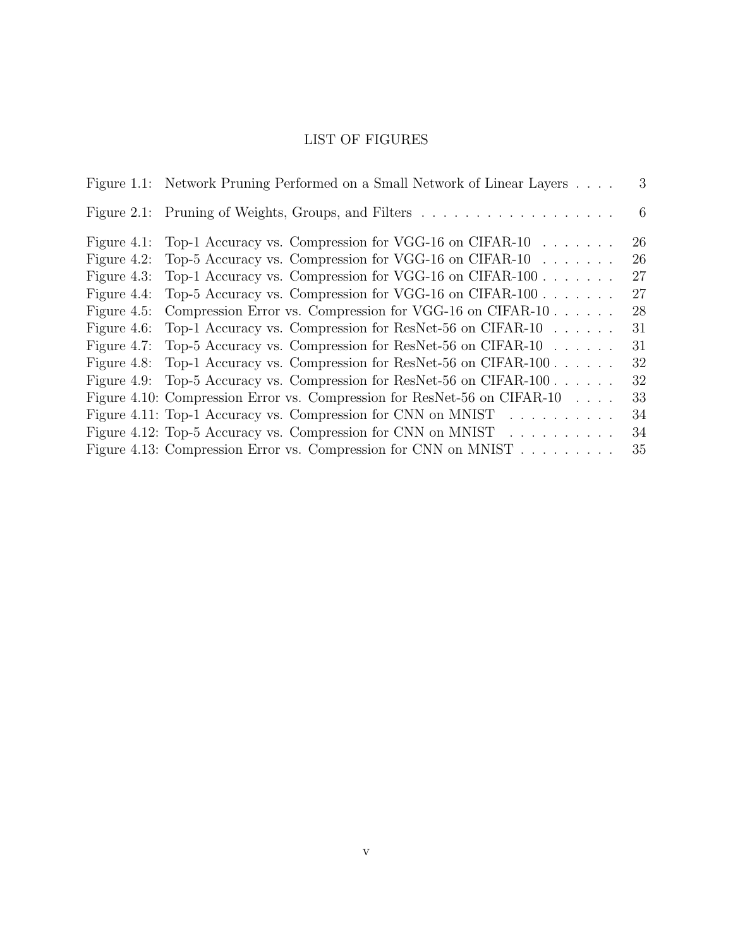# LIST OF FIGURES

|                | Figure 1.1: Network Pruning Performed on a Small Network of Linear Layers           | 3  |
|----------------|-------------------------------------------------------------------------------------|----|
|                |                                                                                     | -6 |
| Figure $4.1$ : | Top-1 Accuracy vs. Compression for VGG-16 on CIFAR-10 $\dots \dots$                 | 26 |
| Figure 4.2:    | Top-5 Accuracy vs. Compression for VGG-16 on CIFAR-10 $\dots \dots$                 | 26 |
|                | Figure 4.3: Top-1 Accuracy vs. Compression for VGG-16 on CIFAR-100                  | 27 |
| Figure 4.4:    | Top-5 Accuracy vs. Compression for VGG-16 on CIFAR-100                              | 27 |
| Figure $4.5$ : | Compression Error vs. Compression for VGG-16 on CIFAR-10 $\dots$ .                  | 28 |
| Figure $4.6$ : | Top-1 Accuracy vs. Compression for ResNet-56 on CIFAR-10                            | 31 |
| Figure 4.7:    | Top-5 Accuracy vs. Compression for ResNet-56 on CIFAR-10                            | 31 |
| Figure 4.8:    | Top-1 Accuracy vs. Compression for ResNet-56 on CIFAR-100                           | 32 |
|                | Figure 4.9: Top-5 Accuracy vs. Compression for ResNet-56 on CIFAR-100               | 32 |
|                | Figure 4.10: Compression Error vs. Compression for ResNet-56 on CIFAR-10            | 33 |
|                | Figure 4.11: Top-1 Accuracy vs. Compression for CNN on MNIST $\dots \dots \dots$    | 34 |
|                | Figure 4.12: Top-5 Accuracy vs. Compression for CNN on MNIST $\ldots \ldots \ldots$ | 34 |
|                | Figure 4.13: Compression Error vs. Compression for CNN on MNIST                     | 35 |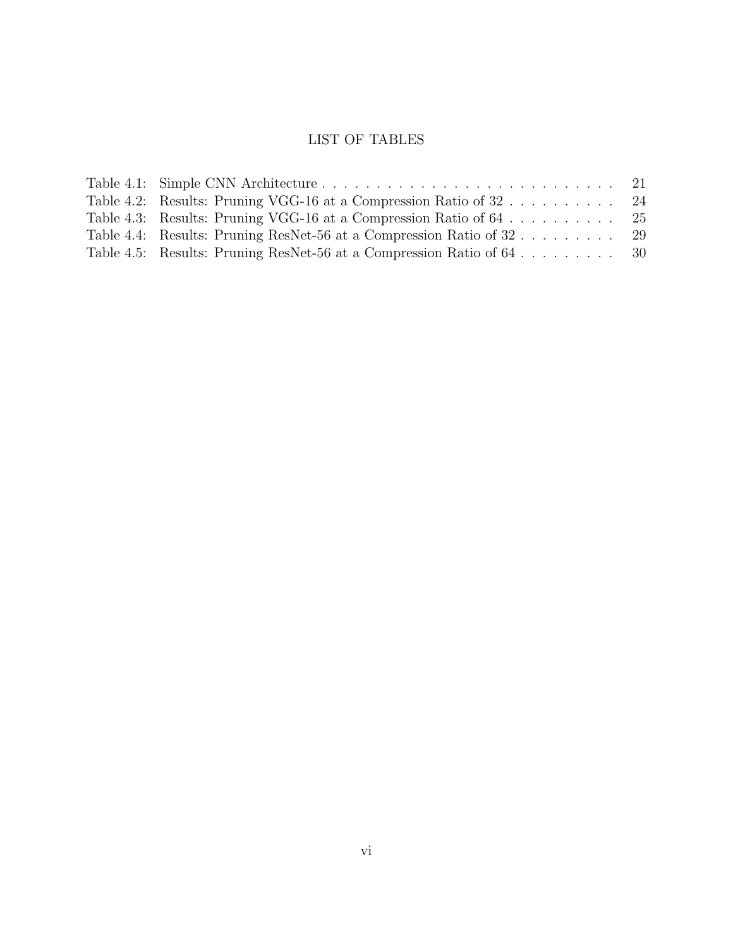# LIST OF TABLES

| Table 4.4: Results: Pruning ResNet-56 at a Compression Ratio of 32    | -29 |
|-----------------------------------------------------------------------|-----|
| Table 4.5: Results: Pruning ResNet-56 at a Compression Ratio of 64 30 |     |
|                                                                       |     |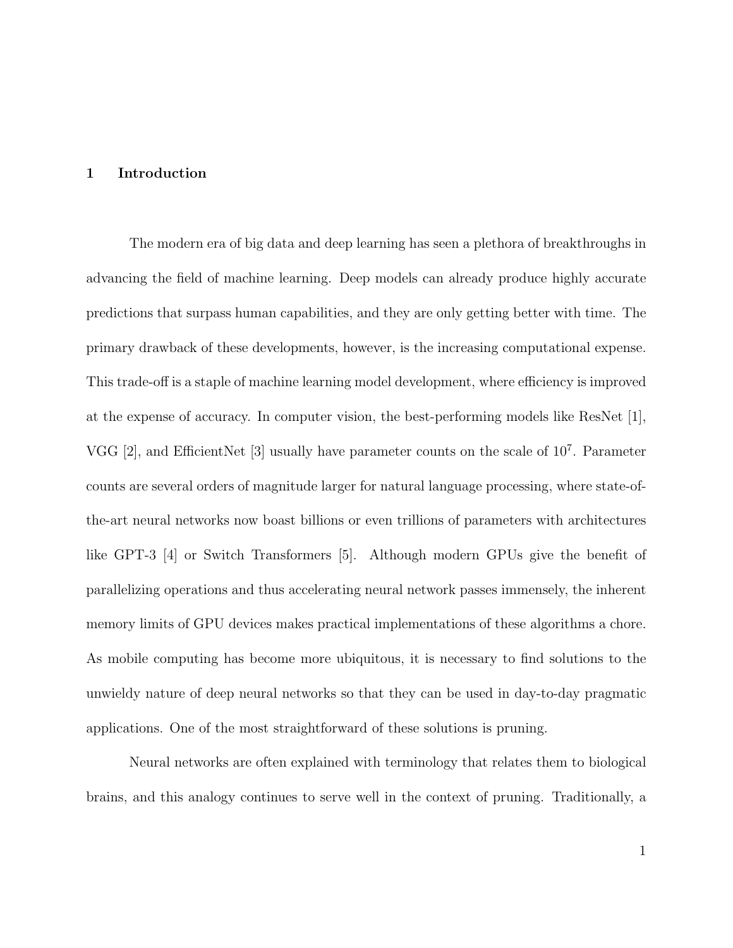#### 1 Introduction

The modern era of big data and deep learning has seen a plethora of breakthroughs in advancing the field of machine learning. Deep models can already produce highly accurate predictions that surpass human capabilities, and they are only getting better with time. The primary drawback of these developments, however, is the increasing computational expense. This trade-off is a staple of machine learning model development, where efficiency is improved at the expense of accuracy. In computer vision, the best-performing models like ResNet [1], VGG [2], and EfficientNet [3] usually have parameter counts on the scale of  $10^7$ . Parameter counts are several orders of magnitude larger for natural language processing, where state-ofthe-art neural networks now boast billions or even trillions of parameters with architectures like GPT-3 [4] or Switch Transformers [5]. Although modern GPUs give the benefit of parallelizing operations and thus accelerating neural network passes immensely, the inherent memory limits of GPU devices makes practical implementations of these algorithms a chore. As mobile computing has become more ubiquitous, it is necessary to find solutions to the unwieldy nature of deep neural networks so that they can be used in day-to-day pragmatic applications. One of the most straightforward of these solutions is pruning.

Neural networks are often explained with terminology that relates them to biological brains, and this analogy continues to serve well in the context of pruning. Traditionally, a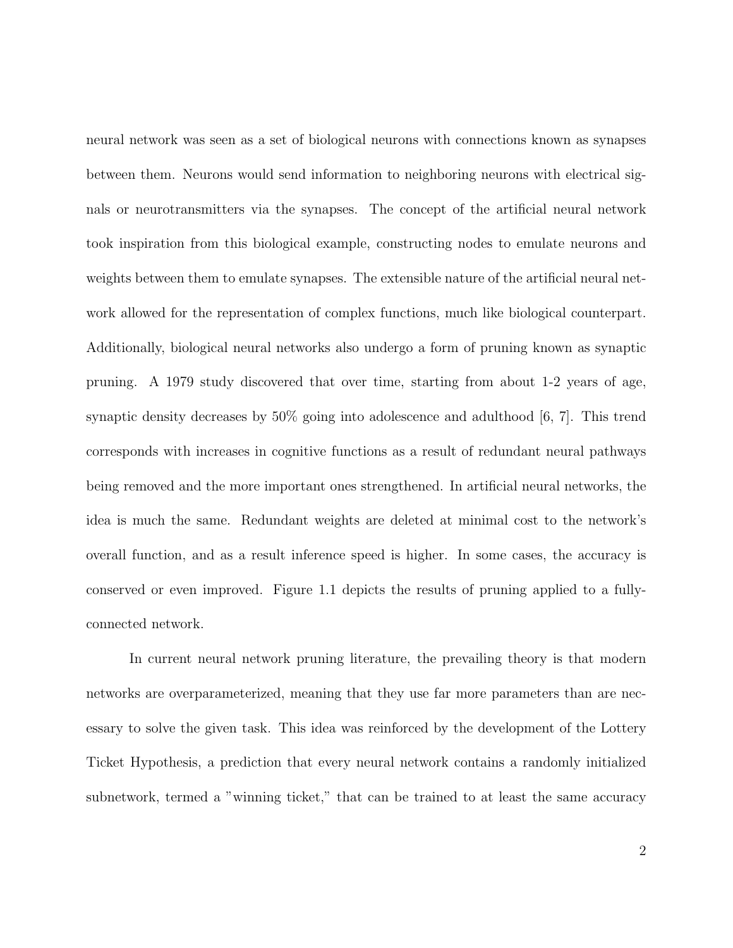neural network was seen as a set of biological neurons with connections known as synapses between them. Neurons would send information to neighboring neurons with electrical signals or neurotransmitters via the synapses. The concept of the artificial neural network took inspiration from this biological example, constructing nodes to emulate neurons and weights between them to emulate synapses. The extensible nature of the artificial neural network allowed for the representation of complex functions, much like biological counterpart. Additionally, biological neural networks also undergo a form of pruning known as synaptic pruning. A 1979 study discovered that over time, starting from about 1-2 years of age, synaptic density decreases by 50% going into adolescence and adulthood [6, 7]. This trend corresponds with increases in cognitive functions as a result of redundant neural pathways being removed and the more important ones strengthened. In artificial neural networks, the idea is much the same. Redundant weights are deleted at minimal cost to the network's overall function, and as a result inference speed is higher. In some cases, the accuracy is conserved or even improved. Figure 1.1 depicts the results of pruning applied to a fullyconnected network.

In current neural network pruning literature, the prevailing theory is that modern networks are overparameterized, meaning that they use far more parameters than are necessary to solve the given task. This idea was reinforced by the development of the Lottery Ticket Hypothesis, a prediction that every neural network contains a randomly initialized subnetwork, termed a "winning ticket," that can be trained to at least the same accuracy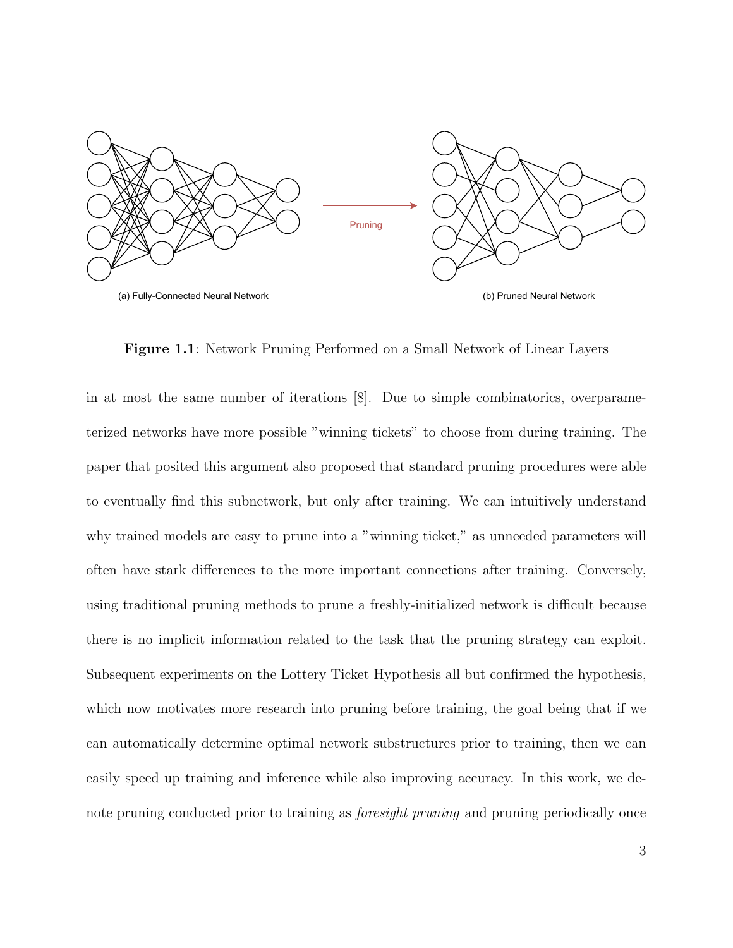

Figure 1.1: Network Pruning Performed on a Small Network of Linear Layers

in at most the same number of iterations [8]. Due to simple combinatorics, overparameterized networks have more possible "winning tickets" to choose from during training. The paper that posited this argument also proposed that standard pruning procedures were able to eventually find this subnetwork, but only after training. We can intuitively understand why trained models are easy to prune into a "winning ticket," as unneeded parameters will often have stark differences to the more important connections after training. Conversely, using traditional pruning methods to prune a freshly-initialized network is difficult because there is no implicit information related to the task that the pruning strategy can exploit. Subsequent experiments on the Lottery Ticket Hypothesis all but confirmed the hypothesis, which now motivates more research into pruning before training, the goal being that if we can automatically determine optimal network substructures prior to training, then we can easily speed up training and inference while also improving accuracy. In this work, we denote pruning conducted prior to training as foresight pruning and pruning periodically once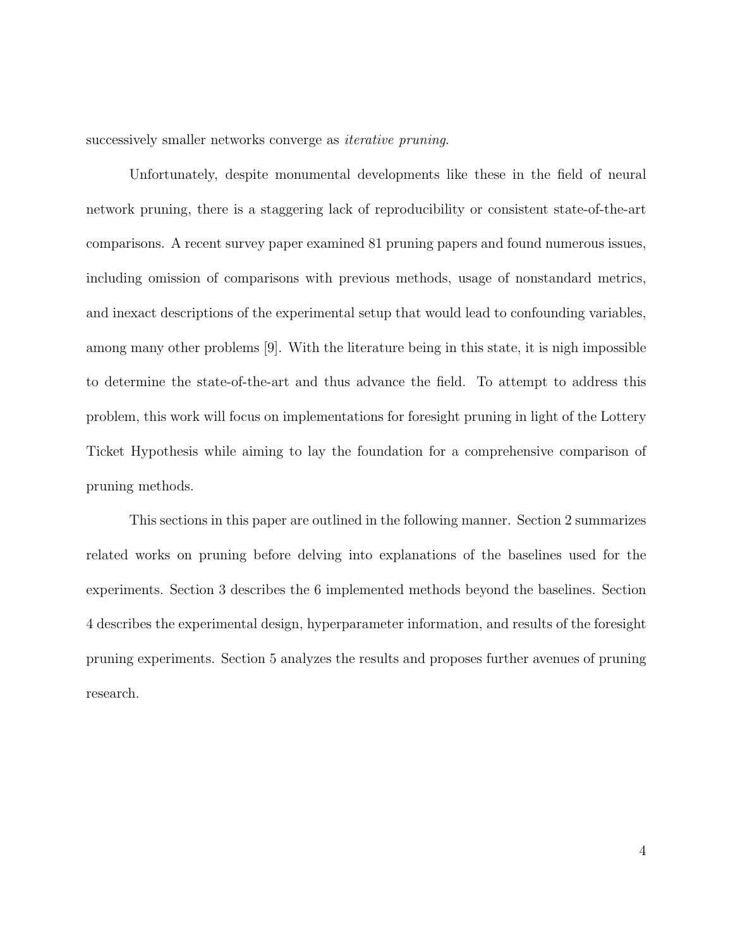successively smaller networks converge as *iterative pruning*.

Unfortunately, despite monumental developments like these in the field of neural network pruning, there is a staggering lack of reproducibility or consistent state-of-the-art comparisons. A recent survey paper examined 81 pruning papers and found numerous issues, including omission of comparisons with previous methods, usage of nonstandard metrics, and inexact descriptions of the experimental setup that would lead to confounding variables, among many other problems [9]. With the literature being in this state, it is nigh impossible to determine the state-of-the-art and thus advance the field. To attempt to address this problem, this work will focus on implementations for foresight pruning in light of the Lottery Ticket Hypothesis while aiming to lay the foundation for a comprehensive comparison of pruning methods.

This sections in this paper are outlined in the following manner. Section 2 summarizes related works on pruning before delving into explanations of the baselines used for the experiments. Section 3 describes the 6 implemented methods beyond the baselines. Section 4 describes the experimental design, hyperparameter information, and results of the foresight pruning experiments. Section 5 analyzes the results and proposes further avenues of pruning research.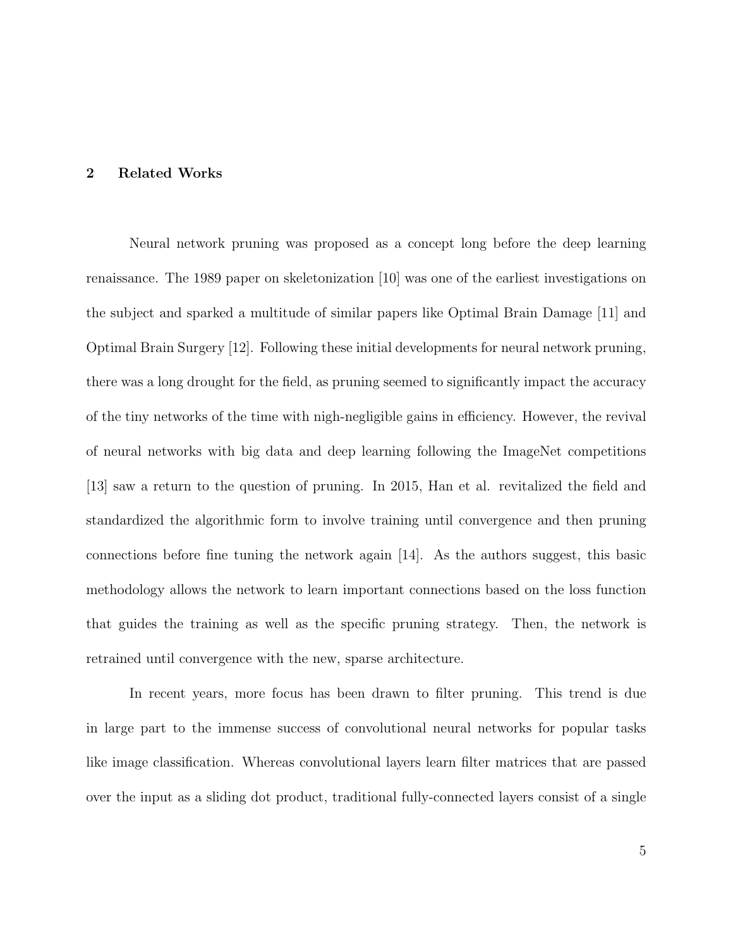#### 2 Related Works

Neural network pruning was proposed as a concept long before the deep learning renaissance. The 1989 paper on skeletonization [10] was one of the earliest investigations on the subject and sparked a multitude of similar papers like Optimal Brain Damage [11] and Optimal Brain Surgery [12]. Following these initial developments for neural network pruning, there was a long drought for the field, as pruning seemed to significantly impact the accuracy of the tiny networks of the time with nigh-negligible gains in efficiency. However, the revival of neural networks with big data and deep learning following the ImageNet competitions [13] saw a return to the question of pruning. In 2015, Han et al. revitalized the field and standardized the algorithmic form to involve training until convergence and then pruning connections before fine tuning the network again [14]. As the authors suggest, this basic methodology allows the network to learn important connections based on the loss function that guides the training as well as the specific pruning strategy. Then, the network is retrained until convergence with the new, sparse architecture.

In recent years, more focus has been drawn to filter pruning. This trend is due in large part to the immense success of convolutional neural networks for popular tasks like image classification. Whereas convolutional layers learn filter matrices that are passed over the input as a sliding dot product, traditional fully-connected layers consist of a single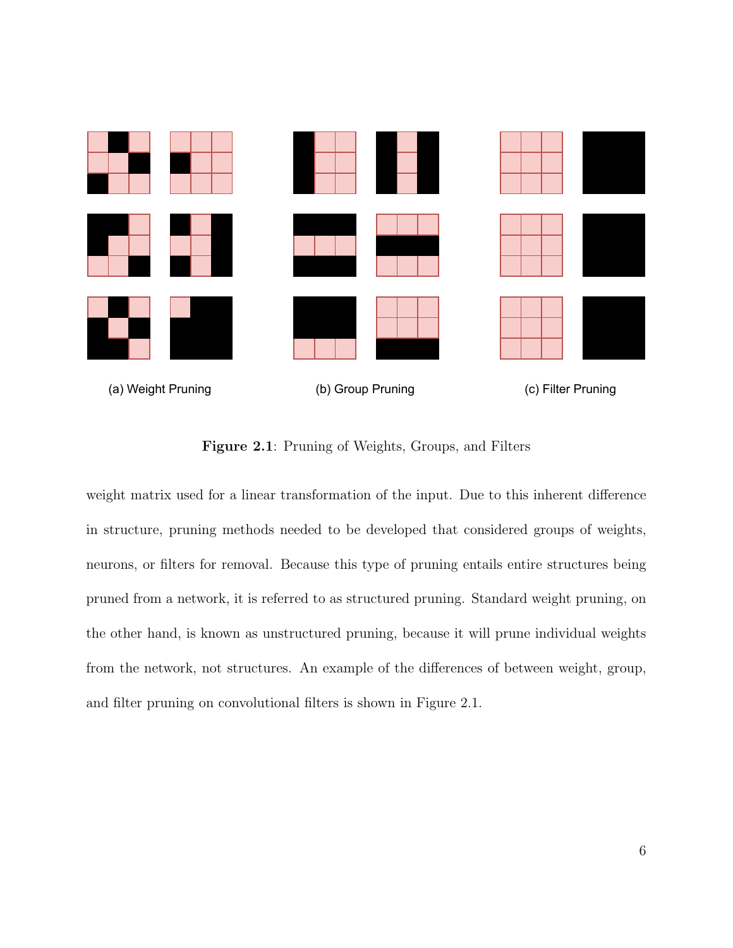

Figure 2.1: Pruning of Weights, Groups, and Filters

weight matrix used for a linear transformation of the input. Due to this inherent difference in structure, pruning methods needed to be developed that considered groups of weights, neurons, or filters for removal. Because this type of pruning entails entire structures being pruned from a network, it is referred to as structured pruning. Standard weight pruning, on the other hand, is known as unstructured pruning, because it will prune individual weights from the network, not structures. An example of the differences of between weight, group, and filter pruning on convolutional filters is shown in Figure 2.1.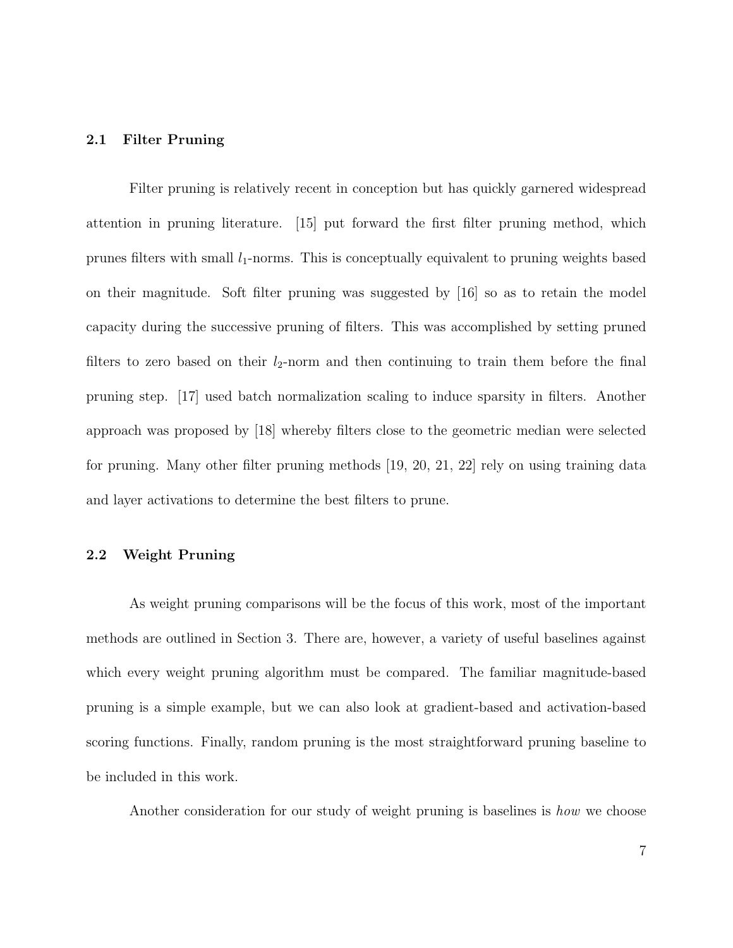### 2.1 Filter Pruning

Filter pruning is relatively recent in conception but has quickly garnered widespread attention in pruning literature. [15] put forward the first filter pruning method, which prunes filters with small  $l_1$ -norms. This is conceptually equivalent to pruning weights based on their magnitude. Soft filter pruning was suggested by [16] so as to retain the model capacity during the successive pruning of filters. This was accomplished by setting pruned filters to zero based on their  $l_2$ -norm and then continuing to train them before the final pruning step. [17] used batch normalization scaling to induce sparsity in filters. Another approach was proposed by [18] whereby filters close to the geometric median were selected for pruning. Many other filter pruning methods [19, 20, 21, 22] rely on using training data and layer activations to determine the best filters to prune.

# 2.2 Weight Pruning

As weight pruning comparisons will be the focus of this work, most of the important methods are outlined in Section 3. There are, however, a variety of useful baselines against which every weight pruning algorithm must be compared. The familiar magnitude-based pruning is a simple example, but we can also look at gradient-based and activation-based scoring functions. Finally, random pruning is the most straightforward pruning baseline to be included in this work.

Another consideration for our study of weight pruning is baselines is how we choose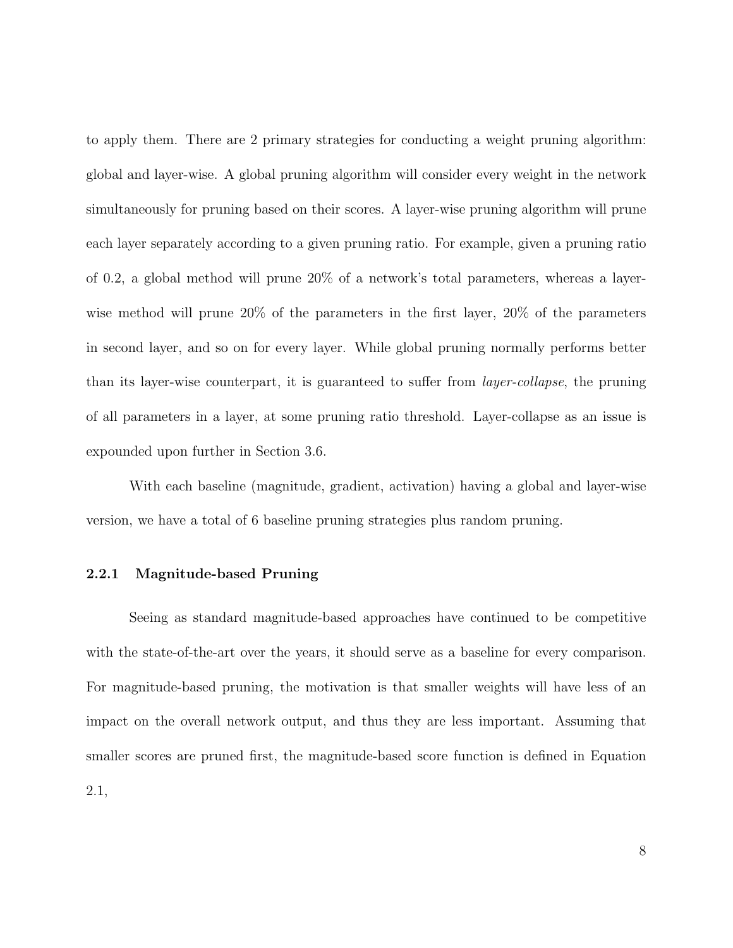to apply them. There are 2 primary strategies for conducting a weight pruning algorithm: global and layer-wise. A global pruning algorithm will consider every weight in the network simultaneously for pruning based on their scores. A layer-wise pruning algorithm will prune each layer separately according to a given pruning ratio. For example, given a pruning ratio of 0.2, a global method will prune 20% of a network's total parameters, whereas a layerwise method will prune 20% of the parameters in the first layer, 20% of the parameters in second layer, and so on for every layer. While global pruning normally performs better than its layer-wise counterpart, it is guaranteed to suffer from layer-collapse, the pruning of all parameters in a layer, at some pruning ratio threshold. Layer-collapse as an issue is expounded upon further in Section 3.6.

With each baseline (magnitude, gradient, activation) having a global and layer-wise version, we have a total of 6 baseline pruning strategies plus random pruning.

#### 2.2.1 Magnitude-based Pruning

Seeing as standard magnitude-based approaches have continued to be competitive with the state-of-the-art over the years, it should serve as a baseline for every comparison. For magnitude-based pruning, the motivation is that smaller weights will have less of an impact on the overall network output, and thus they are less important. Assuming that smaller scores are pruned first, the magnitude-based score function is defined in Equation 2.1,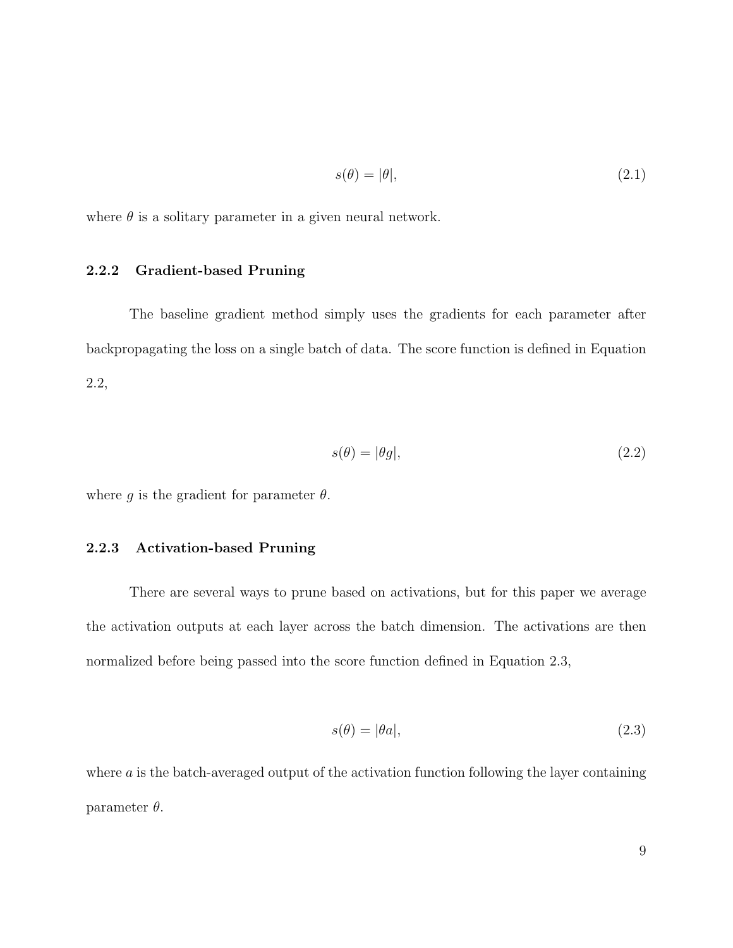$$
s(\theta) = |\theta|,\tag{2.1}
$$

where  $\theta$  is a solitary parameter in a given neural network.

# 2.2.2 Gradient-based Pruning

The baseline gradient method simply uses the gradients for each parameter after backpropagating the loss on a single batch of data. The score function is defined in Equation 2.2,

$$
s(\theta) = |\theta g|,\tag{2.2}
$$

where q is the gradient for parameter  $\theta$ .

### 2.2.3 Activation-based Pruning

There are several ways to prune based on activations, but for this paper we average the activation outputs at each layer across the batch dimension. The activations are then normalized before being passed into the score function defined in Equation 2.3,

$$
s(\theta) = |\theta a|,\tag{2.3}
$$

where  $\alpha$  is the batch-averaged output of the activation function following the layer containing parameter  $\theta$ .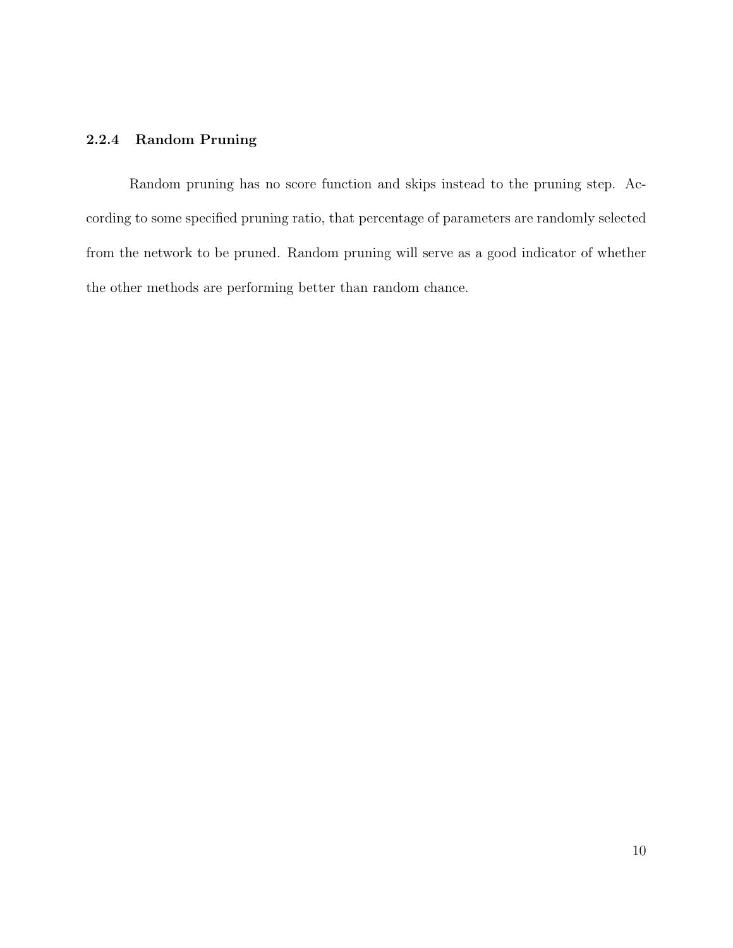# 2.2.4 Random Pruning

Random pruning has no score function and skips instead to the pruning step. According to some specified pruning ratio, that percentage of parameters are randomly selected from the network to be pruned. Random pruning will serve as a good indicator of whether the other methods are performing better than random chance.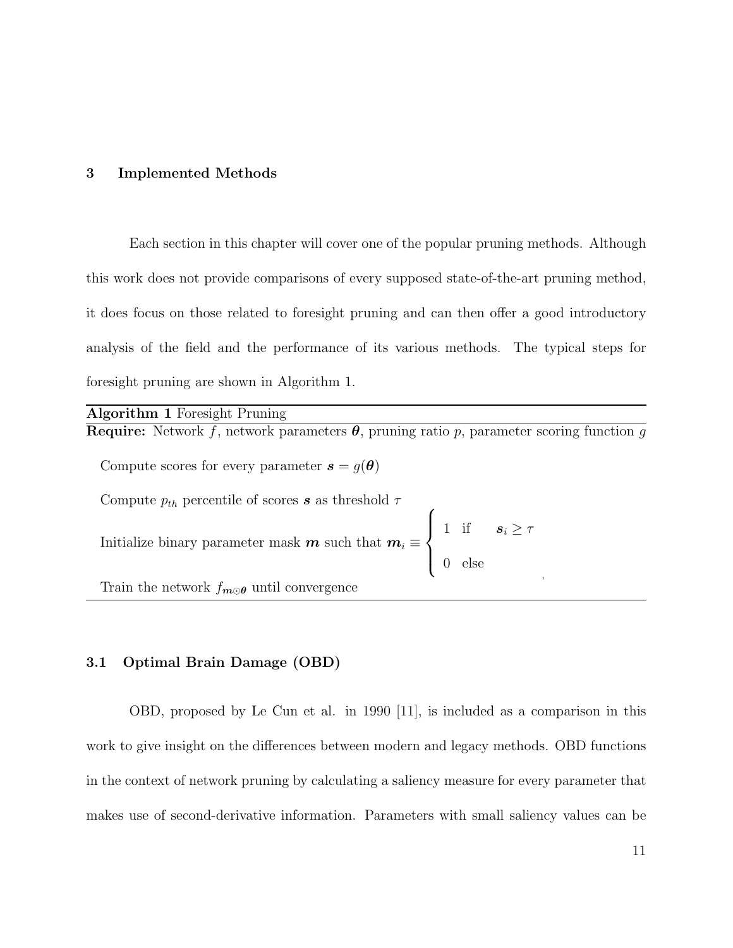#### 3 Implemented Methods

Each section in this chapter will cover one of the popular pruning methods. Although this work does not provide comparisons of every supposed state-of-the-art pruning method, it does focus on those related to foresight pruning and can then offer a good introductory analysis of the field and the performance of its various methods. The typical steps for foresight pruning are shown in Algorithm 1.

| <b>Algorithm 1</b> Foresight Pruning                                                                                                  |  |
|---------------------------------------------------------------------------------------------------------------------------------------|--|
| <b>Require:</b> Network f, network parameters $\theta$ , pruning ratio p, parameter scoring function g                                |  |
| Compute scores for every parameter $s = g(\theta)$                                                                                    |  |
| Compute $p_{th}$ percentile of scores s as threshold $\tau$                                                                           |  |
| Initialize binary parameter mask $m$ such that $m_i \equiv \begin{cases} 1 & \text{if } s_i \geq \tau \\ 0 & \text{else} \end{cases}$ |  |
| Train the network $f_{m \odot \theta}$ until convergence                                                                              |  |

#### 3.1 Optimal Brain Damage (OBD)

OBD, proposed by Le Cun et al. in 1990 [11], is included as a comparison in this work to give insight on the differences between modern and legacy methods. OBD functions in the context of network pruning by calculating a saliency measure for every parameter that makes use of second-derivative information. Parameters with small saliency values can be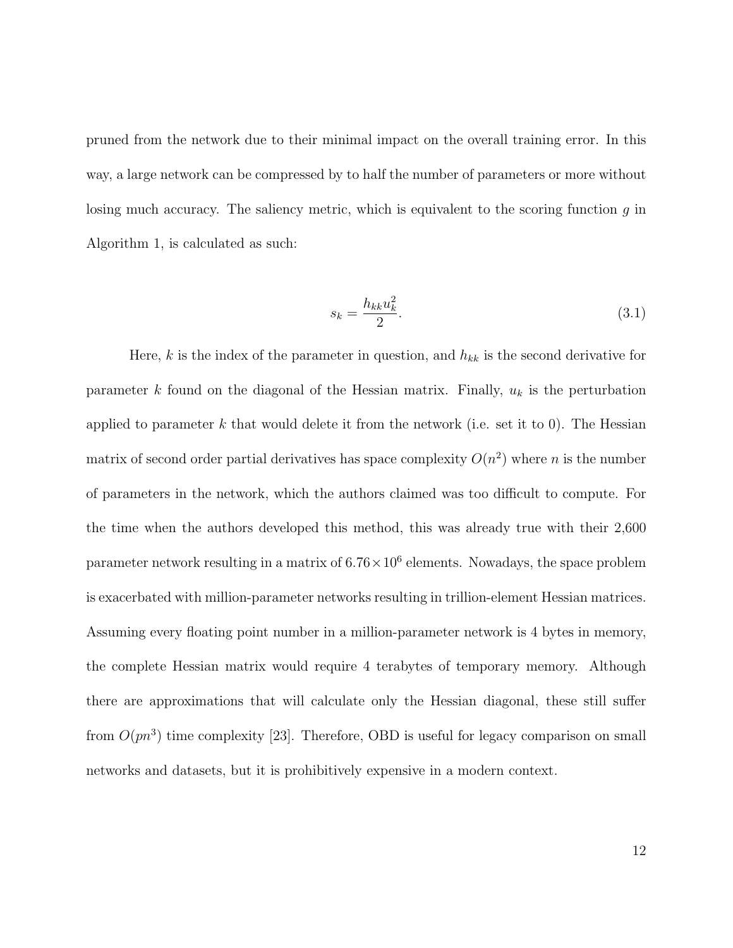pruned from the network due to their minimal impact on the overall training error. In this way, a large network can be compressed by to half the number of parameters or more without losing much accuracy. The saliency metric, which is equivalent to the scoring function  $g$  in Algorithm 1, is calculated as such:

$$
s_k = \frac{h_{kk} u_k^2}{2}.\tag{3.1}
$$

Here, k is the index of the parameter in question, and  $h_{kk}$  is the second derivative for parameter k found on the diagonal of the Hessian matrix. Finally,  $u_k$  is the perturbation applied to parameter k that would delete it from the network (i.e. set it to 0). The Hessian matrix of second order partial derivatives has space complexity  $O(n^2)$  where n is the number of parameters in the network, which the authors claimed was too difficult to compute. For the time when the authors developed this method, this was already true with their 2,600 parameter network resulting in a matrix of  $6.76 \times 10^6$  elements. Nowadays, the space problem is exacerbated with million-parameter networks resulting in trillion-element Hessian matrices. Assuming every floating point number in a million-parameter network is 4 bytes in memory, the complete Hessian matrix would require 4 terabytes of temporary memory. Although there are approximations that will calculate only the Hessian diagonal, these still suffer from  $O(pn^3)$  time complexity [23]. Therefore, OBD is useful for legacy comparison on small networks and datasets, but it is prohibitively expensive in a modern context.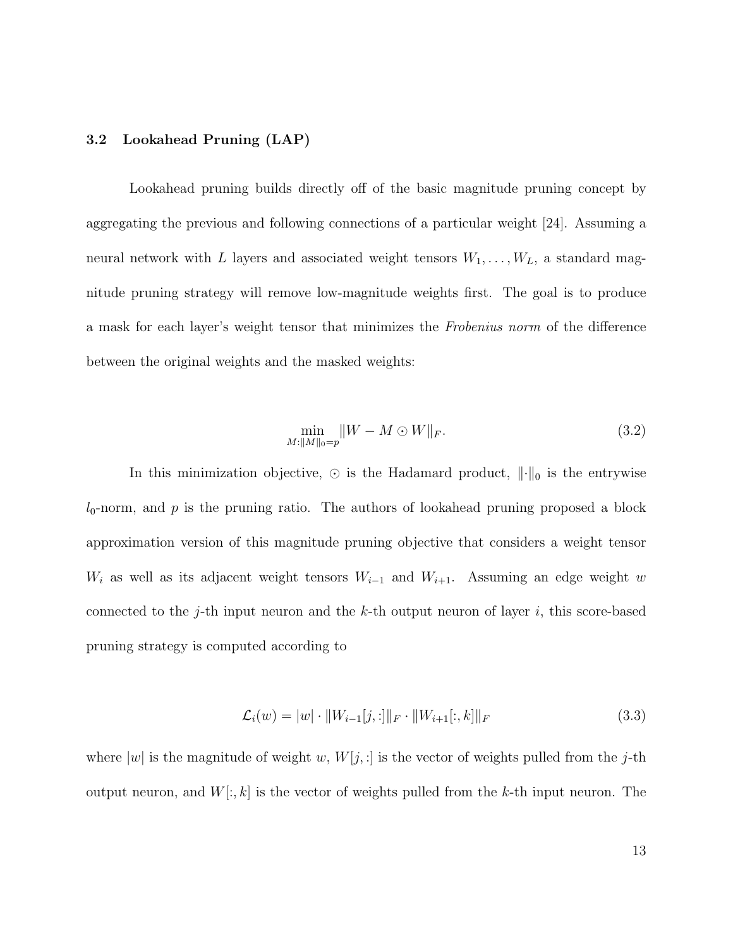#### 3.2 Lookahead Pruning (LAP)

Lookahead pruning builds directly off of the basic magnitude pruning concept by aggregating the previous and following connections of a particular weight [24]. Assuming a neural network with L layers and associated weight tensors  $W_1, \ldots, W_L$ , a standard magnitude pruning strategy will remove low-magnitude weights first. The goal is to produce a mask for each layer's weight tensor that minimizes the Frobenius norm of the difference between the original weights and the masked weights:

$$
\min_{M:\|M\|_0=p} \|W - M \odot W\|_F. \tag{3.2}
$$

In this minimization objective,  $\odot$  is the Hadamard product,  $\|\cdot\|_0$  is the entrywise  $l_0$ -norm, and p is the pruning ratio. The authors of lookahead pruning proposed a block approximation version of this magnitude pruning objective that considers a weight tensor  $W_i$  as well as its adjacent weight tensors  $W_{i-1}$  and  $W_{i+1}$ . Assuming an edge weight w connected to the j-th input neuron and the  $k$ -th output neuron of layer i, this score-based pruning strategy is computed according to

$$
\mathcal{L}_i(w) = |w| \cdot \|W_{i-1}[j, :] \|_F \cdot \|W_{i+1}[:, k]\|_F \tag{3.3}
$$

where  $|w|$  is the magnitude of weight w,  $W[j, :]$  is the vector of weights pulled from the j-th output neuron, and  $W[:, k]$  is the vector of weights pulled from the k-th input neuron. The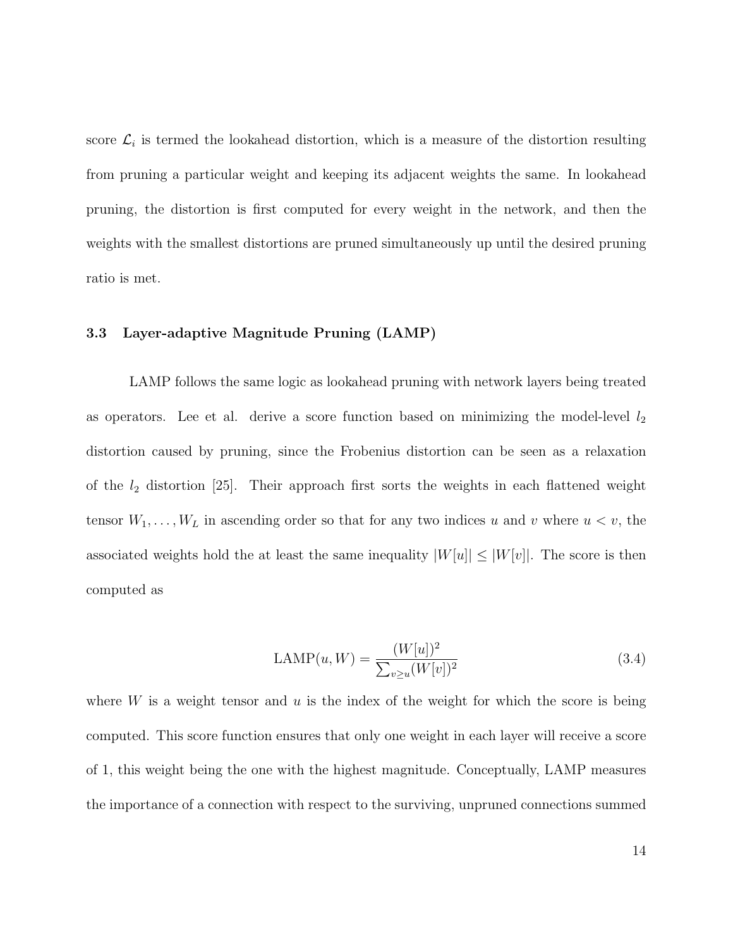score  $\mathcal{L}_i$  is termed the lookahead distortion, which is a measure of the distortion resulting from pruning a particular weight and keeping its adjacent weights the same. In lookahead pruning, the distortion is first computed for every weight in the network, and then the weights with the smallest distortions are pruned simultaneously up until the desired pruning ratio is met.

#### 3.3 Layer-adaptive Magnitude Pruning (LAMP)

LAMP follows the same logic as lookahead pruning with network layers being treated as operators. Lee et al. derive a score function based on minimizing the model-level  $l_2$ distortion caused by pruning, since the Frobenius distortion can be seen as a relaxation of the  $l_2$  distortion [25]. Their approach first sorts the weights in each flattened weight tensor  $W_1, \ldots, W_L$  in ascending order so that for any two indices u and v where  $u < v$ , the associated weights hold the at least the same inequality  $|W[u]| \leq |W[v]|$ . The score is then computed as

$$
LAMP(u, W) = \frac{(W[u])^2}{\sum_{v \ge u} (W[v])^2}
$$
\n(3.4)

where W is a weight tensor and  $u$  is the index of the weight for which the score is being computed. This score function ensures that only one weight in each layer will receive a score of 1, this weight being the one with the highest magnitude. Conceptually, LAMP measures the importance of a connection with respect to the surviving, unpruned connections summed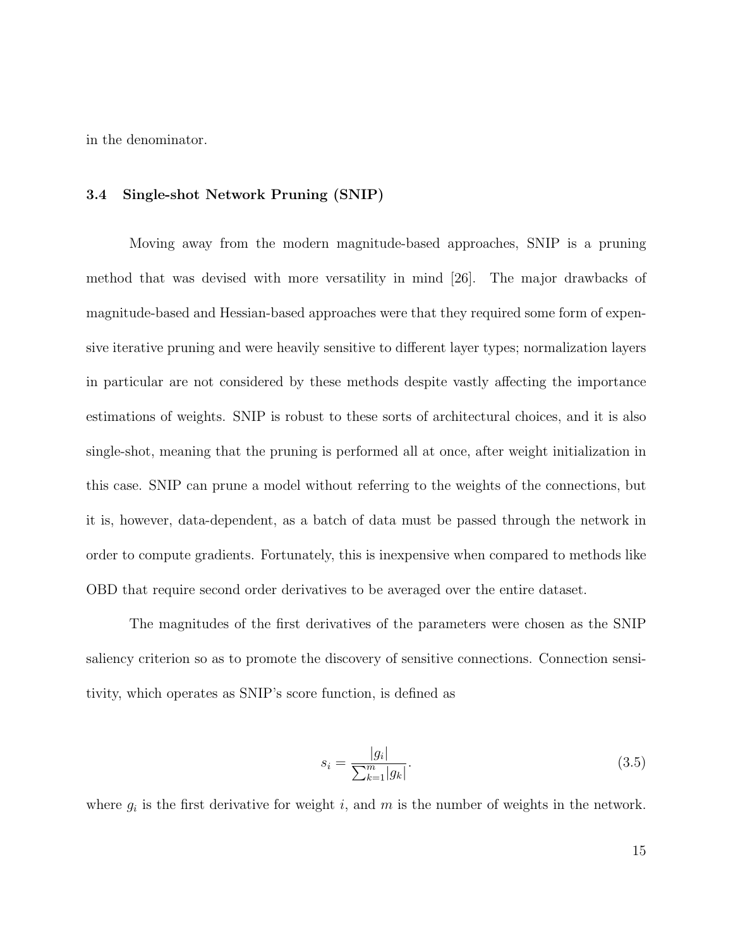in the denominator.

#### 3.4 Single-shot Network Pruning (SNIP)

Moving away from the modern magnitude-based approaches, SNIP is a pruning method that was devised with more versatility in mind [26]. The major drawbacks of magnitude-based and Hessian-based approaches were that they required some form of expensive iterative pruning and were heavily sensitive to different layer types; normalization layers in particular are not considered by these methods despite vastly affecting the importance estimations of weights. SNIP is robust to these sorts of architectural choices, and it is also single-shot, meaning that the pruning is performed all at once, after weight initialization in this case. SNIP can prune a model without referring to the weights of the connections, but it is, however, data-dependent, as a batch of data must be passed through the network in order to compute gradients. Fortunately, this is inexpensive when compared to methods like OBD that require second order derivatives to be averaged over the entire dataset.

The magnitudes of the first derivatives of the parameters were chosen as the SNIP saliency criterion so as to promote the discovery of sensitive connections. Connection sensitivity, which operates as SNIP's score function, is defined as

$$
s_i = \frac{|g_i|}{\sum_{k=1}^m |g_k|}.\tag{3.5}
$$

where  $g_i$  is the first derivative for weight i, and m is the number of weights in the network.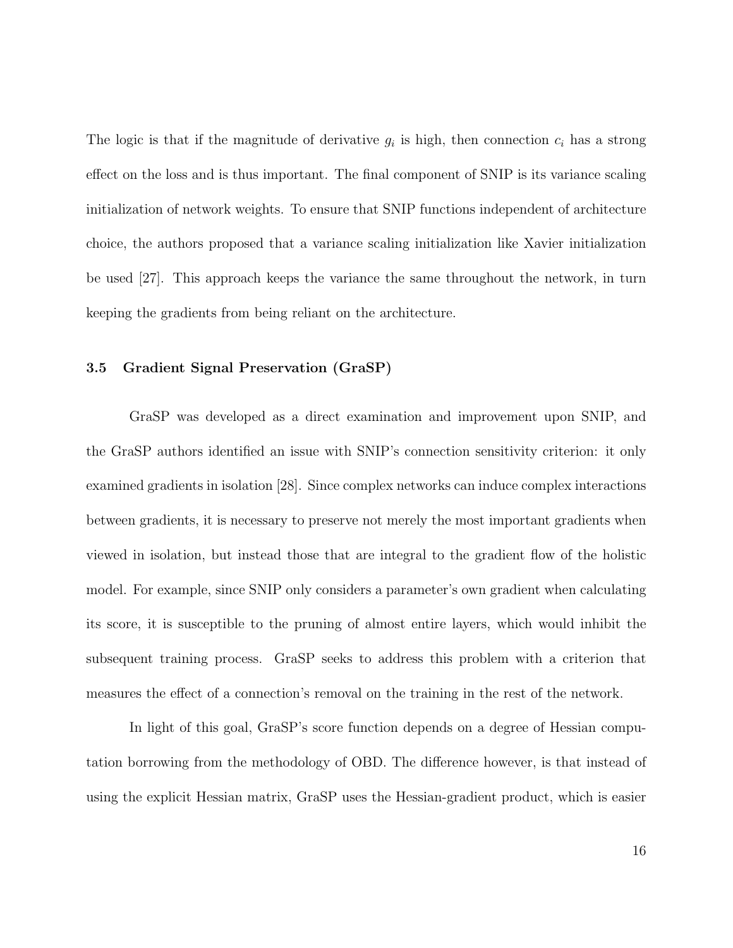The logic is that if the magnitude of derivative  $g_i$  is high, then connection  $c_i$  has a strong effect on the loss and is thus important. The final component of SNIP is its variance scaling initialization of network weights. To ensure that SNIP functions independent of architecture choice, the authors proposed that a variance scaling initialization like Xavier initialization be used [27]. This approach keeps the variance the same throughout the network, in turn keeping the gradients from being reliant on the architecture.

### 3.5 Gradient Signal Preservation (GraSP)

GraSP was developed as a direct examination and improvement upon SNIP, and the GraSP authors identified an issue with SNIP's connection sensitivity criterion: it only examined gradients in isolation [28]. Since complex networks can induce complex interactions between gradients, it is necessary to preserve not merely the most important gradients when viewed in isolation, but instead those that are integral to the gradient flow of the holistic model. For example, since SNIP only considers a parameter's own gradient when calculating its score, it is susceptible to the pruning of almost entire layers, which would inhibit the subsequent training process. GraSP seeks to address this problem with a criterion that measures the effect of a connection's removal on the training in the rest of the network.

In light of this goal, GraSP's score function depends on a degree of Hessian computation borrowing from the methodology of OBD. The difference however, is that instead of using the explicit Hessian matrix, GraSP uses the Hessian-gradient product, which is easier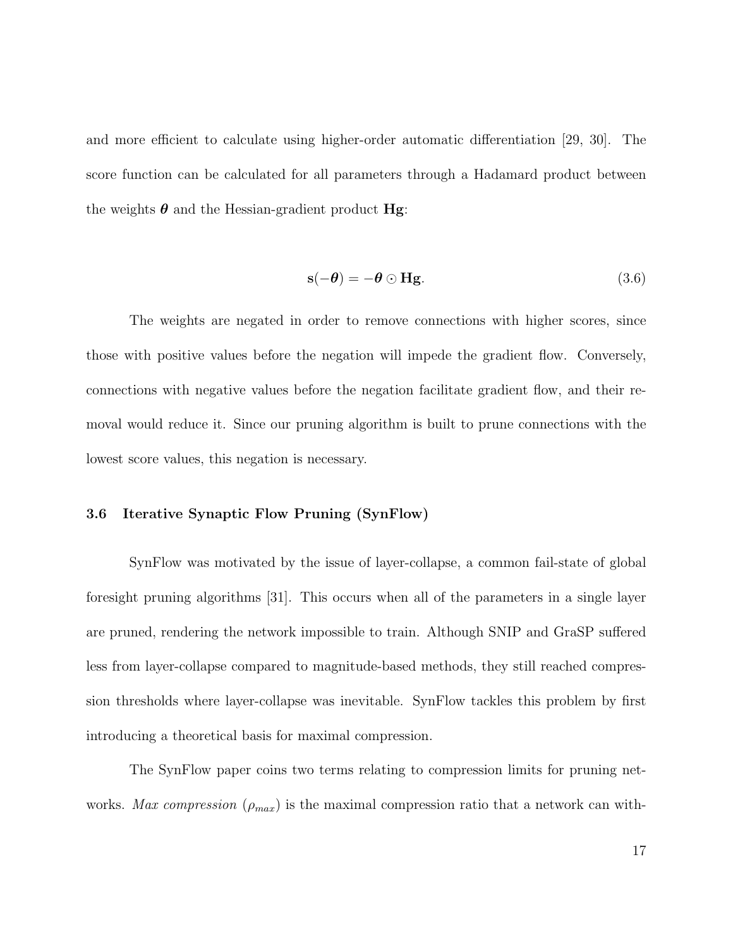and more efficient to calculate using higher-order automatic differentiation [29, 30]. The score function can be calculated for all parameters through a Hadamard product between the weights  $\boldsymbol{\theta}$  and the Hessian-gradient product **Hg**:

$$
\mathbf{s}(-\boldsymbol{\theta}) = -\boldsymbol{\theta} \odot \mathbf{H}\mathbf{g}.\tag{3.6}
$$

The weights are negated in order to remove connections with higher scores, since those with positive values before the negation will impede the gradient flow. Conversely, connections with negative values before the negation facilitate gradient flow, and their removal would reduce it. Since our pruning algorithm is built to prune connections with the lowest score values, this negation is necessary.

#### 3.6 Iterative Synaptic Flow Pruning (SynFlow)

SynFlow was motivated by the issue of layer-collapse, a common fail-state of global foresight pruning algorithms [31]. This occurs when all of the parameters in a single layer are pruned, rendering the network impossible to train. Although SNIP and GraSP suffered less from layer-collapse compared to magnitude-based methods, they still reached compression thresholds where layer-collapse was inevitable. SynFlow tackles this problem by first introducing a theoretical basis for maximal compression.

The SynFlow paper coins two terms relating to compression limits for pruning networks. Max compression ( $\rho_{max}$ ) is the maximal compression ratio that a network can with-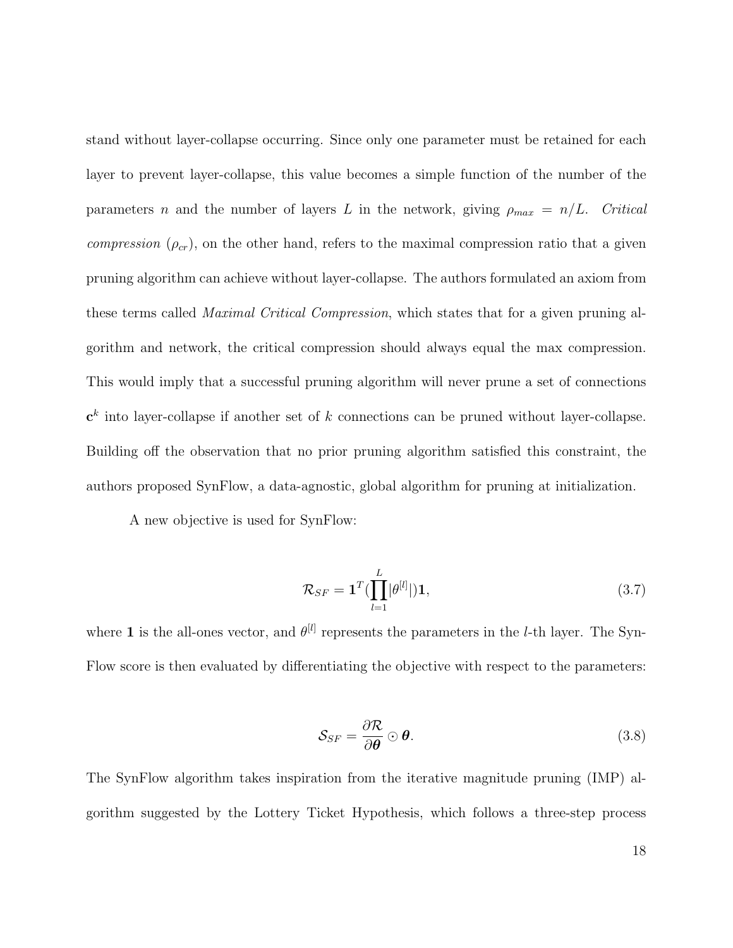stand without layer-collapse occurring. Since only one parameter must be retained for each layer to prevent layer-collapse, this value becomes a simple function of the number of the parameters n and the number of layers L in the network, giving  $\rho_{max} = n/L$ . Critical compression  $(\rho_{cr})$ , on the other hand, refers to the maximal compression ratio that a given pruning algorithm can achieve without layer-collapse. The authors formulated an axiom from these terms called Maximal Critical Compression, which states that for a given pruning algorithm and network, the critical compression should always equal the max compression. This would imply that a successful pruning algorithm will never prune a set of connections  $\mathbf{c}^k$  into layer-collapse if another set of k connections can be pruned without layer-collapse. Building off the observation that no prior pruning algorithm satisfied this constraint, the authors proposed SynFlow, a data-agnostic, global algorithm for pruning at initialization.

A new objective is used for SynFlow:

$$
\mathcal{R}_{SF} = \mathbf{1}^T (\prod_{l=1}^L |\theta^{[l]}|) \mathbf{1},\tag{3.7}
$$

where 1 is the all-ones vector, and  $\theta^{[l]}$  represents the parameters in the *l*-th layer. The Syn-Flow score is then evaluated by differentiating the objective with respect to the parameters:

$$
\mathcal{S}_{SF} = \frac{\partial \mathcal{R}}{\partial \boldsymbol{\theta}} \odot \boldsymbol{\theta}.
$$
 (3.8)

The SynFlow algorithm takes inspiration from the iterative magnitude pruning (IMP) algorithm suggested by the Lottery Ticket Hypothesis, which follows a three-step process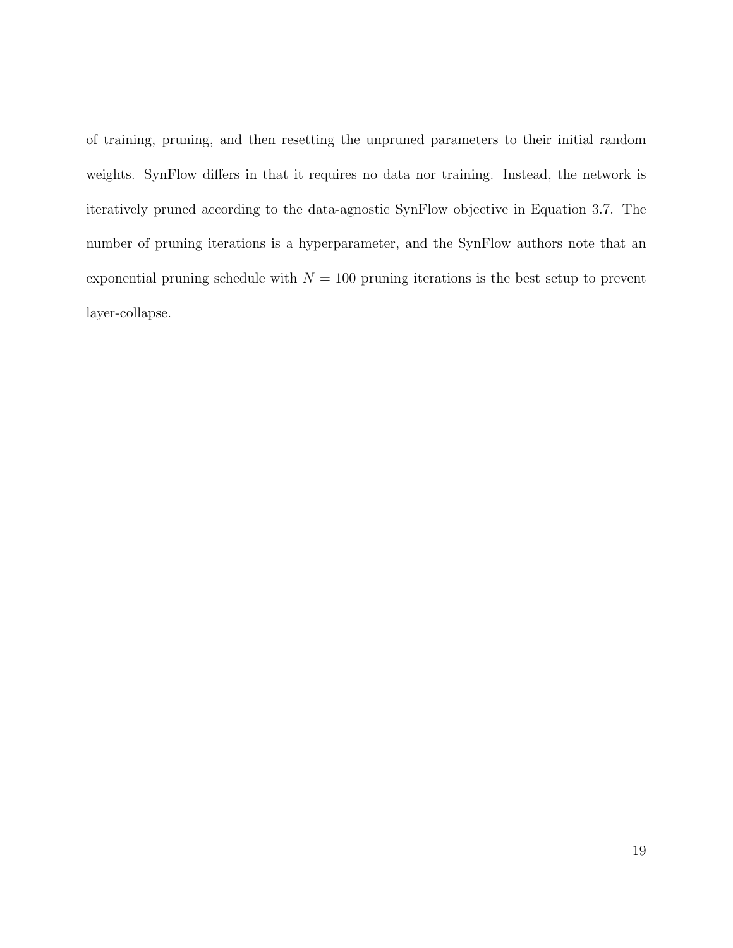of training, pruning, and then resetting the unpruned parameters to their initial random weights. SynFlow differs in that it requires no data nor training. Instead, the network is iteratively pruned according to the data-agnostic SynFlow objective in Equation 3.7. The number of pruning iterations is a hyperparameter, and the SynFlow authors note that an exponential pruning schedule with  $N = 100$  pruning iterations is the best setup to prevent layer-collapse.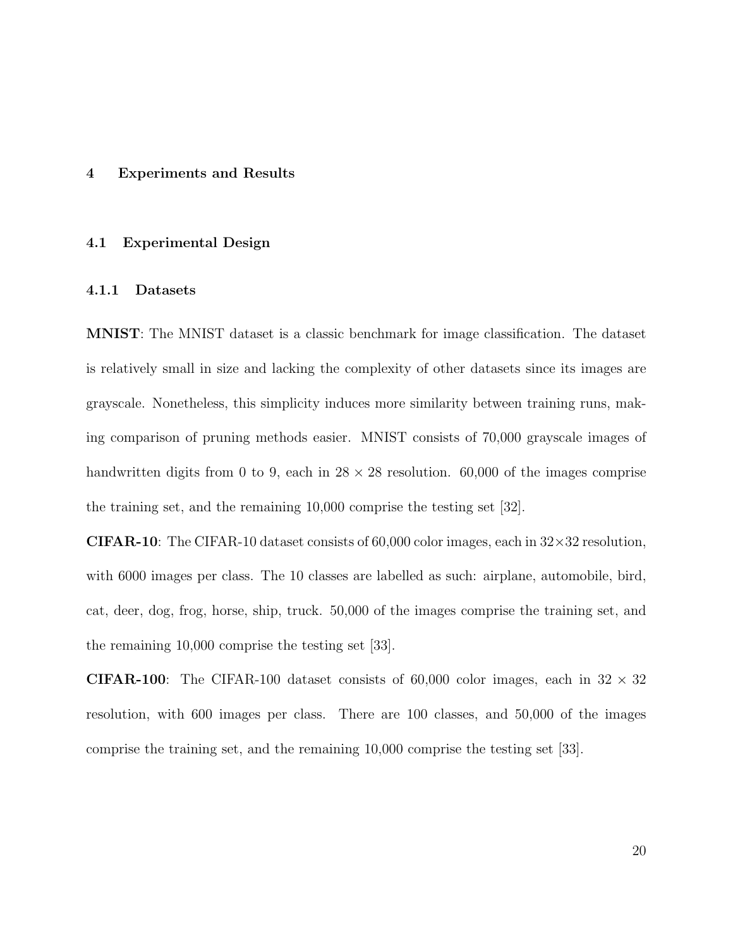#### 4 Experiments and Results

#### 4.1 Experimental Design

### 4.1.1 Datasets

MNIST: The MNIST dataset is a classic benchmark for image classification. The dataset is relatively small in size and lacking the complexity of other datasets since its images are grayscale. Nonetheless, this simplicity induces more similarity between training runs, making comparison of pruning methods easier. MNIST consists of 70,000 grayscale images of handwritten digits from 0 to 9, each in  $28 \times 28$  resolution. 60,000 of the images comprise the training set, and the remaining 10,000 comprise the testing set [32].

**CIFAR-10:** The CIFAR-10 dataset consists of 60,000 color images, each in  $32 \times 32$  resolution, with 6000 images per class. The 10 classes are labelled as such: airplane, automobile, bird, cat, deer, dog, frog, horse, ship, truck. 50,000 of the images comprise the training set, and the remaining 10,000 comprise the testing set [33].

**CIFAR-100**: The CIFAR-100 dataset consists of 60,000 color images, each in  $32 \times 32$ resolution, with 600 images per class. There are 100 classes, and 50,000 of the images comprise the training set, and the remaining 10,000 comprise the testing set [33].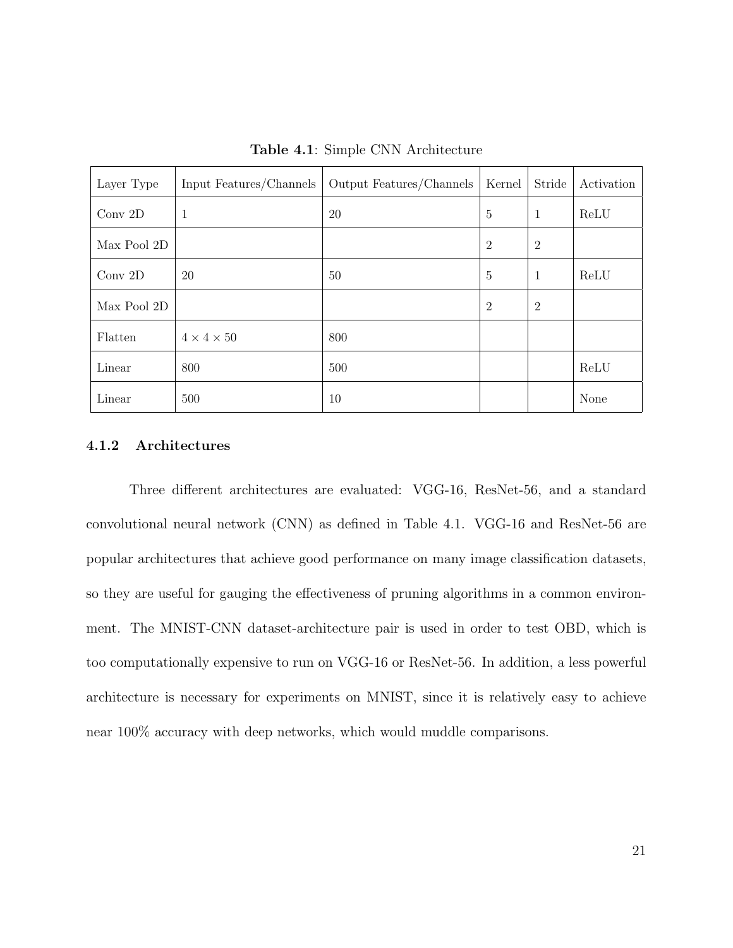| Layer Type  | Input Features/Channels | Output Features/Channels | Kernel         | Stride         | Activation |
|-------------|-------------------------|--------------------------|----------------|----------------|------------|
| Conv $2D$   | 1                       | 20                       | $\overline{5}$ | $\mathbf{1}$   | ReLU       |
| Max Pool 2D |                         |                          | $\overline{2}$ | $\overline{2}$ |            |
| Conv 2D     | 20                      | 50                       | $\overline{5}$ | $\mathbf{1}$   | ReLU       |
| Max Pool 2D |                         |                          | $\overline{2}$ | $\overline{2}$ |            |
| Flatten     | $4 \times 4 \times 50$  | 800                      |                |                |            |
| Linear      | 800                     | 500                      |                |                | ReLU       |
| Linear      | 500                     | 10                       |                |                | None       |

Table 4.1: Simple CNN Architecture

#### 4.1.2 Architectures

Three different architectures are evaluated: VGG-16, ResNet-56, and a standard convolutional neural network (CNN) as defined in Table 4.1. VGG-16 and ResNet-56 are popular architectures that achieve good performance on many image classification datasets, so they are useful for gauging the effectiveness of pruning algorithms in a common environment. The MNIST-CNN dataset-architecture pair is used in order to test OBD, which is too computationally expensive to run on VGG-16 or ResNet-56. In addition, a less powerful architecture is necessary for experiments on MNIST, since it is relatively easy to achieve near 100% accuracy with deep networks, which would muddle comparisons.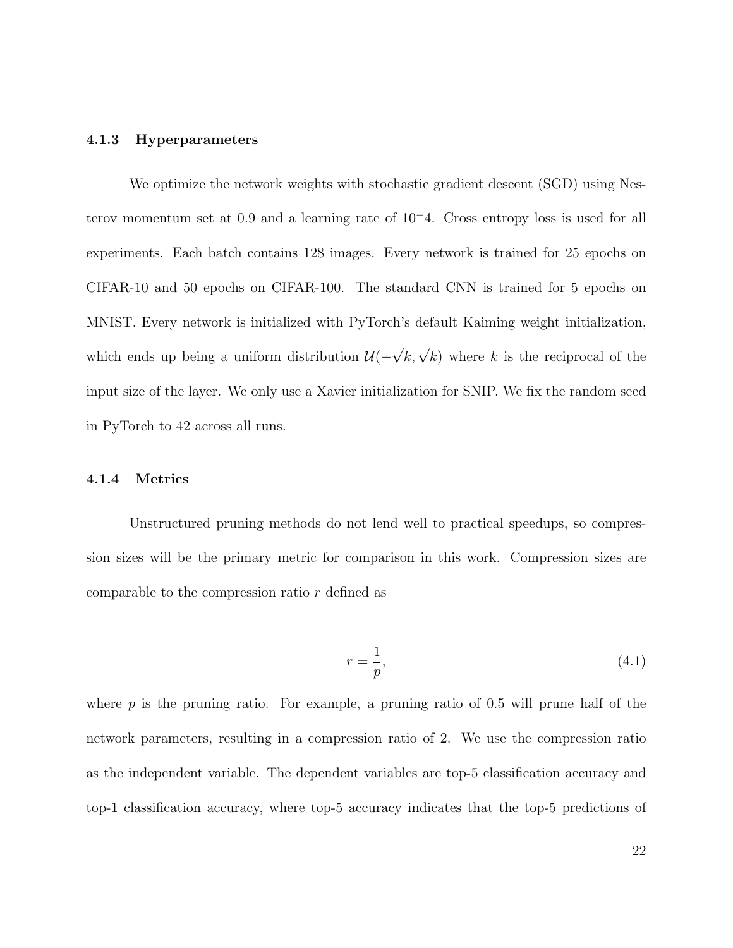#### 4.1.3 Hyperparameters

We optimize the network weights with stochastic gradient descent (SGD) using Nesterov momentum set at 0.9 and a learning rate of 10<sup>−</sup>4. Cross entropy loss is used for all experiments. Each batch contains 128 images. Every network is trained for 25 epochs on CIFAR-10 and 50 epochs on CIFAR-100. The standard CNN is trained for 5 epochs on MNIST. Every network is initialized with PyTorch's default Kaiming weight initialization, which ends up being a uniform distribution  $\mathcal{U}(-\sqrt{k}, \sqrt{k})$  where k is the reciprocal of the input size of the layer. We only use a Xavier initialization for SNIP. We fix the random seed in PyTorch to 42 across all runs.

#### 4.1.4 Metrics

Unstructured pruning methods do not lend well to practical speedups, so compression sizes will be the primary metric for comparison in this work. Compression sizes are comparable to the compression ratio r defined as

$$
r = \frac{1}{p},\tag{4.1}
$$

where  $p$  is the pruning ratio. For example, a pruning ratio of 0.5 will prune half of the network parameters, resulting in a compression ratio of 2. We use the compression ratio as the independent variable. The dependent variables are top-5 classification accuracy and top-1 classification accuracy, where top-5 accuracy indicates that the top-5 predictions of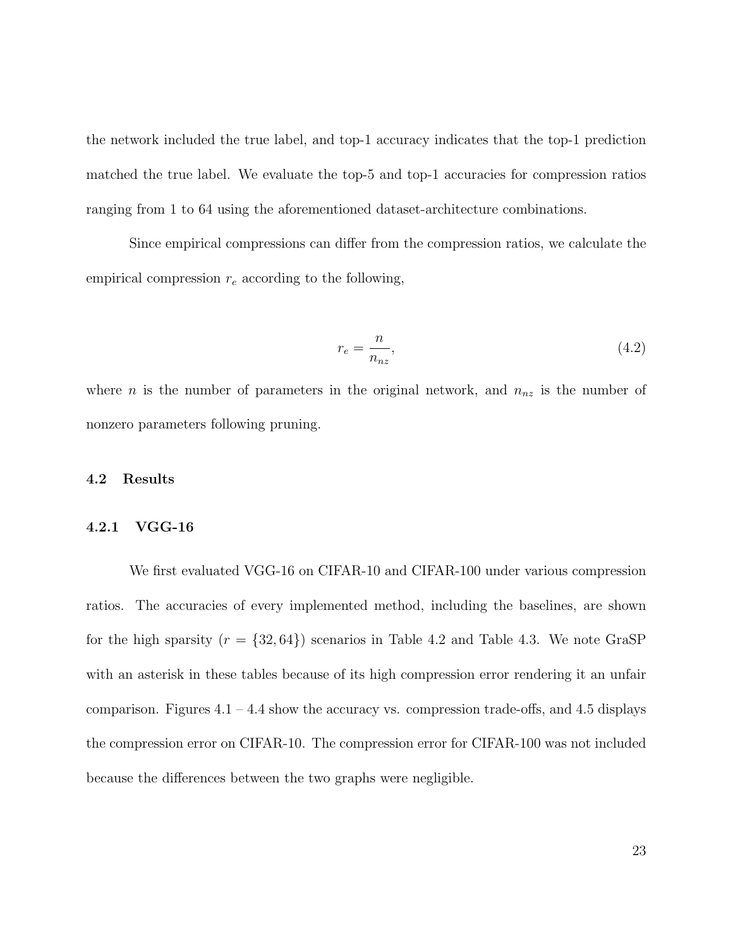the network included the true label, and top-1 accuracy indicates that the top-1 prediction matched the true label. We evaluate the top-5 and top-1 accuracies for compression ratios ranging from 1 to 64 using the aforementioned dataset-architecture combinations.

Since empirical compressions can differ from the compression ratios, we calculate the empirical compression  $r_e$  according to the following,

$$
r_e = \frac{n}{n_{nz}},\tag{4.2}
$$

where *n* is the number of parameters in the original network, and  $n_{nz}$  is the number of nonzero parameters following pruning.

#### 4.2 Results

#### 4.2.1 VGG-16

We first evaluated VGG-16 on CIFAR-10 and CIFAR-100 under various compression ratios. The accuracies of every implemented method, including the baselines, are shown for the high sparsity  $(r = \{32, 64\})$  scenarios in Table 4.2 and Table 4.3. We note GraSP with an asterisk in these tables because of its high compression error rendering it an unfair comparison. Figures  $4.1 - 4.4$  show the accuracy vs. compression trade-offs, and  $4.5$  displays the compression error on CIFAR-10. The compression error for CIFAR-100 was not included because the differences between the two graphs were negligible.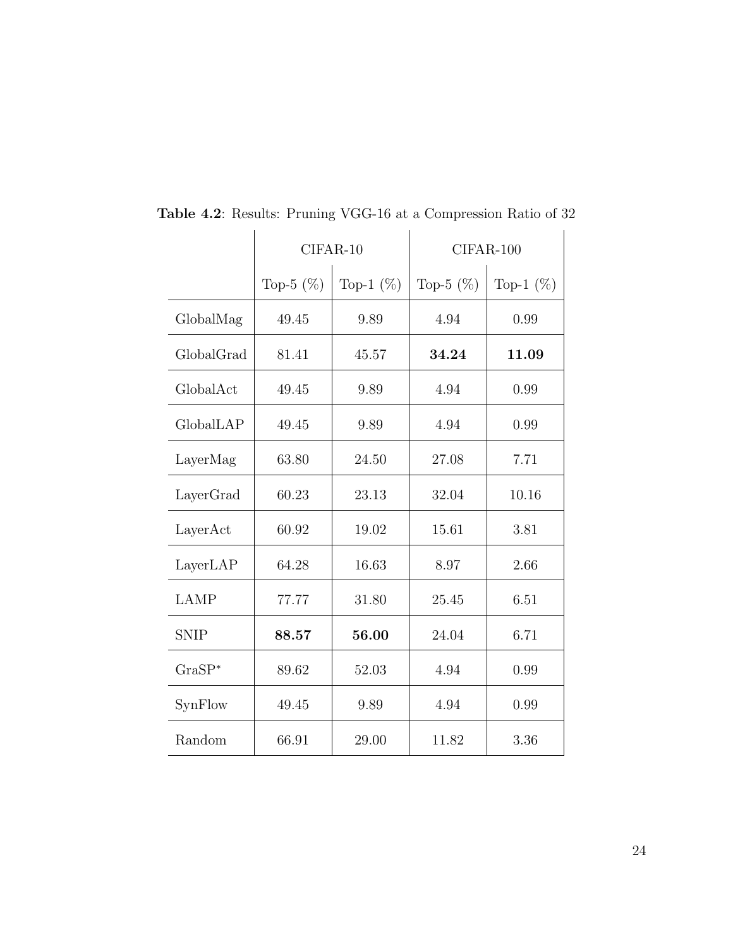|             |              | $CIFAR-10$   |              | CIFAR-100    |
|-------------|--------------|--------------|--------------|--------------|
|             | Top-5 $(\%)$ | Top-1 $(\%)$ | Top-5 $(\%)$ | Top-1 $(\%)$ |
| GlobalMag   | 49.45        | 9.89         | 4.94         | 0.99         |
| GlobalGrad  | 81.41        | 45.57        | 34.24        | 11.09        |
| GlobalAct   | 49.45        | 9.89         | 4.94         | 0.99         |
| GlobalLAP   | 49.45        | 9.89         | 4.94         | 0.99         |
| LayerMag    | 63.80        | 24.50        | 27.08        | 7.71         |
| LayerGrad   | 60.23        | 23.13        | 32.04        | 10.16        |
| LayerAct    | 60.92        | 19.02        | 15.61        | 3.81         |
| LayerLAP    | 64.28        | 16.63        | 8.97         | 2.66         |
| <b>LAMP</b> | 77.77        | 31.80        | 25.45        | 6.51         |
| <b>SNIP</b> | 88.57        | 56.00        | 24.04        | 6.71         |
| $GraSP*$    | 89.62        | 52.03        | 4.94         | 0.99         |
| SynFlow     | 49.45        | 9.89         | 4.94         | 0.99         |
| Random      | 66.91        | 29.00        | 11.82        | 3.36         |

**Table 4.2:** Results: Pruning VGG-16 at a Compression Ratio of 32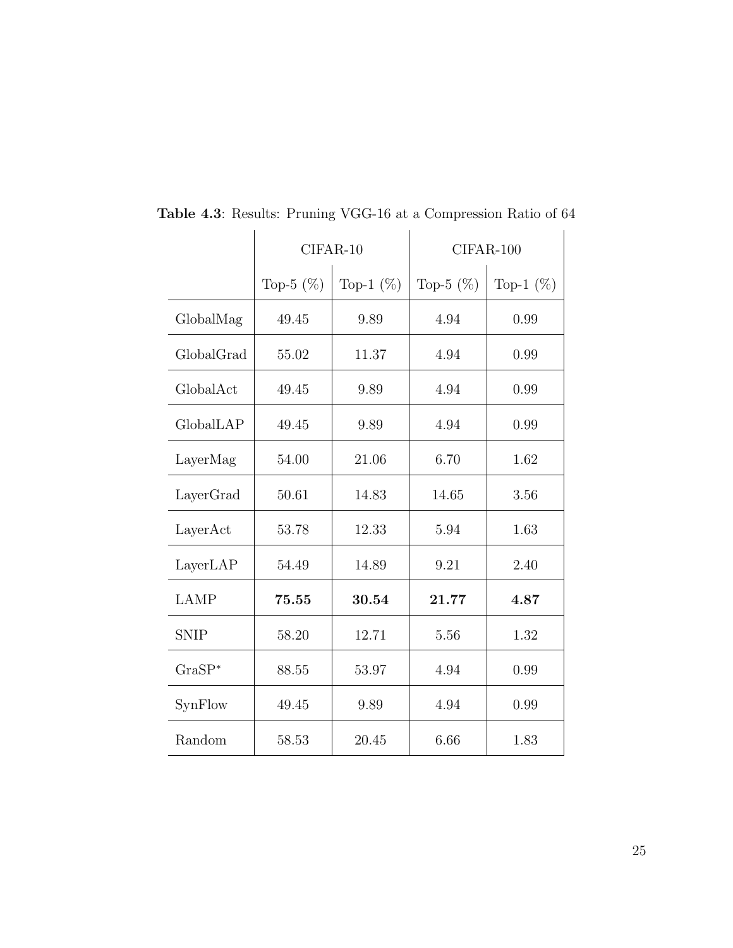|             |              | CIFAR-10     | CIFAR-100    |              |  |  |  |
|-------------|--------------|--------------|--------------|--------------|--|--|--|
|             | Top-5 $(\%)$ | Top-1 $(\%)$ | Top-5 $(\%)$ | Top-1 $(\%)$ |  |  |  |
| GlobalMag   | 49.45        | 9.89         | 4.94         | 0.99         |  |  |  |
| GlobalGrad  | 55.02        | 11.37        | 4.94         | 0.99         |  |  |  |
| GlobalAct   | 49.45        | 9.89         | 4.94         | 0.99         |  |  |  |
| GlobalLAP   | 49.45        | 9.89         | 4.94         | 0.99         |  |  |  |
| LayerMag    | 54.00        | 21.06        | 6.70         | 1.62         |  |  |  |
| LayerGrad   | 50.61        | 14.83        | 14.65        | 3.56         |  |  |  |
| LayerAct    | 53.78        | 12.33        | 5.94         | 1.63         |  |  |  |
| LayerLAP    | 54.49        | 14.89        | 9.21         | 2.40         |  |  |  |
| <b>LAMP</b> | 75.55        | 30.54        | 21.77        | 4.87         |  |  |  |
| <b>SNIP</b> | 58.20        | 12.71        | 5.56         | 1.32         |  |  |  |
| $GraSP*$    | 88.55        | 53.97        | 4.94         | 0.99         |  |  |  |
| SynFlow     | 49.45        | 9.89         | 4.94         | 0.99         |  |  |  |
| Random      | 58.53        | 20.45        | 6.66         | 1.83         |  |  |  |

**Table 4.3:** Results: Pruning VGG-16 at a Compression Ratio of 64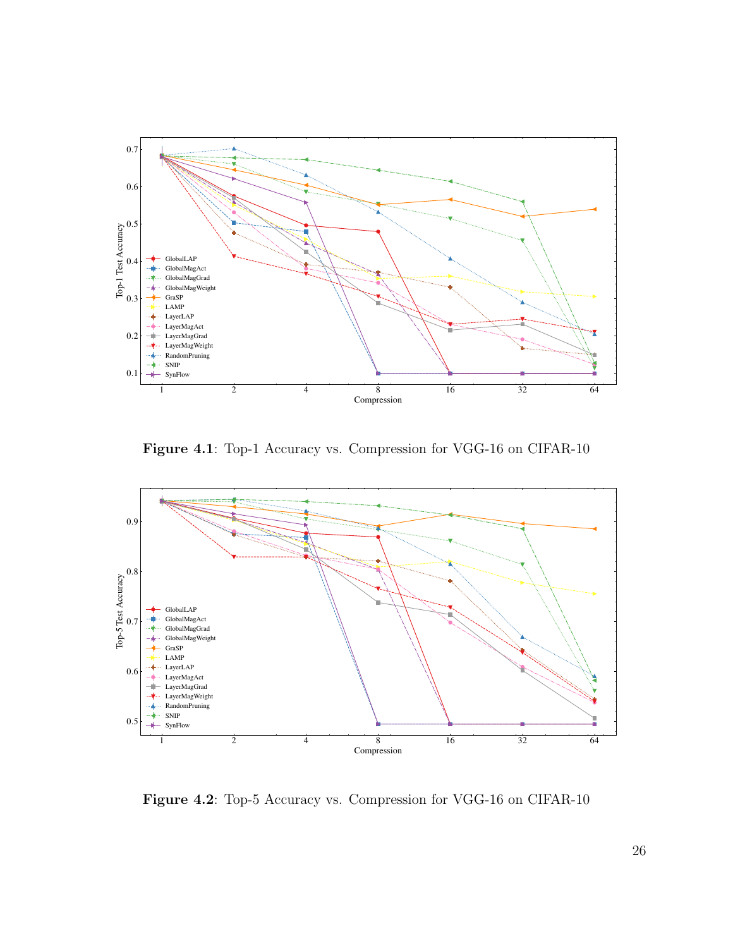

Figure 4.1: Top-1 Accuracy vs. Compression for VGG-16 on CIFAR-10



Figure 4.2: Top-5 Accuracy vs. Compression for VGG-16 on CIFAR-10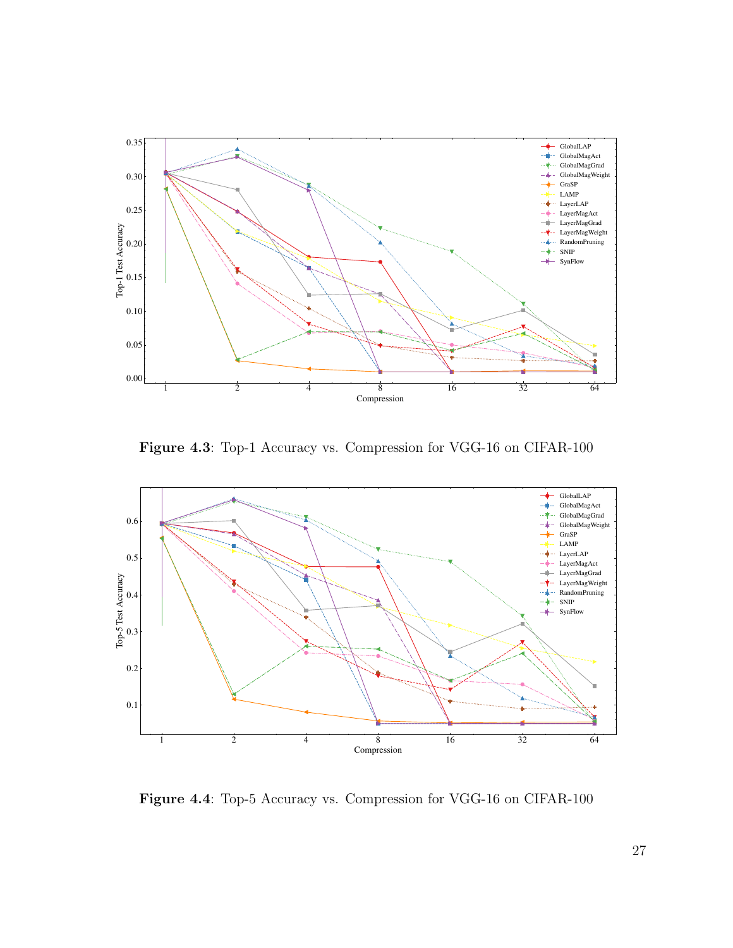

Figure 4.3: Top-1 Accuracy vs. Compression for VGG-16 on CIFAR-100



Figure 4.4: Top-5 Accuracy vs. Compression for VGG-16 on CIFAR-100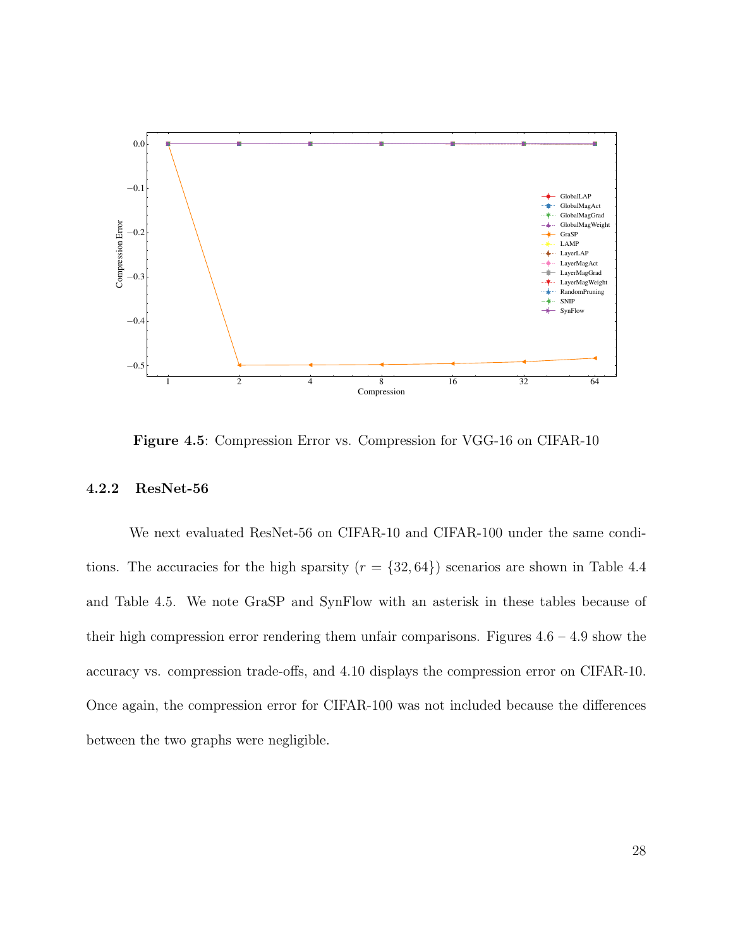

Figure 4.5: Compression Error vs. Compression for VGG-16 on CIFAR-10

### 4.2.2 ResNet-56

We next evaluated ResNet-56 on CIFAR-10 and CIFAR-100 under the same conditions. The accuracies for the high sparsity  $(r = \{32, 64\})$  scenarios are shown in Table 4.4 and Table 4.5. We note GraSP and SynFlow with an asterisk in these tables because of their high compression error rendering them unfair comparisons. Figures  $4.6 - 4.9$  show the accuracy vs. compression trade-offs, and 4.10 displays the compression error on CIFAR-10. Once again, the compression error for CIFAR-100 was not included because the differences between the two graphs were negligible.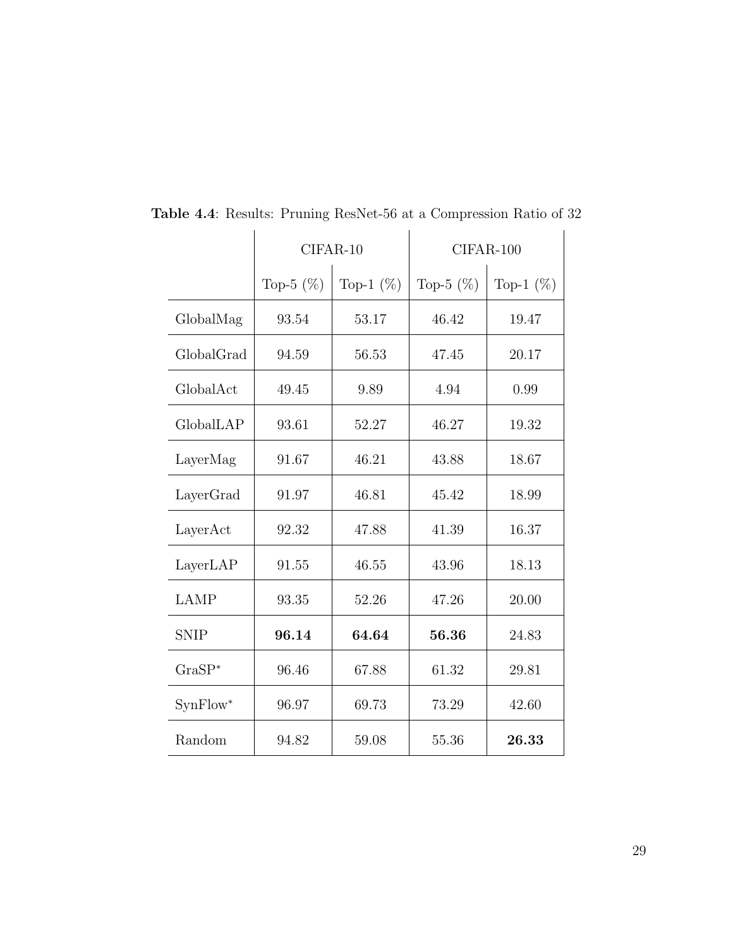|             |              | $CIFAR-10$   |              | $CIFAR-100$  |
|-------------|--------------|--------------|--------------|--------------|
|             | Top-5 $(\%)$ | Top-1 $(\%)$ | Top-5 $(\%)$ | Top-1 $(\%)$ |
| GlobalMag   | 93.54        | 53.17        | 46.42        | 19.47        |
| GlobalGrad  | 94.59        | 56.53        | 47.45        | 20.17        |
| GlobalAct   | 49.45        | 9.89         | 4.94         | 0.99         |
| GlobalLAP   | 93.61        | 52.27        | 46.27        | 19.32        |
| LayerMag    | 91.67        | 46.21        | 43.88        | 18.67        |
| LayerGrad   | 91.97        | 46.81        | 45.42        | 18.99        |
| LayerAct    | 92.32        | 47.88        | 41.39        | 16.37        |
| LayerLAP    | 91.55        | 46.55        | 43.96        | 18.13        |
| LAMP        | 93.35        | 52.26        | 47.26        | 20.00        |
| <b>SNIP</b> | 96.14        | 64.64        | 56.36        | 24.83        |
| $GraSP*$    | 96.46        | 67.88        | 61.32        | 29.81        |
| SynFlow*    | 96.97        | 69.73        | 73.29        | 42.60        |
| Random      | 94.82        | 59.08        | 55.36        | 26.33        |

Table 4.4: Results: Pruning ResNet-56 at a Compression Ratio of 32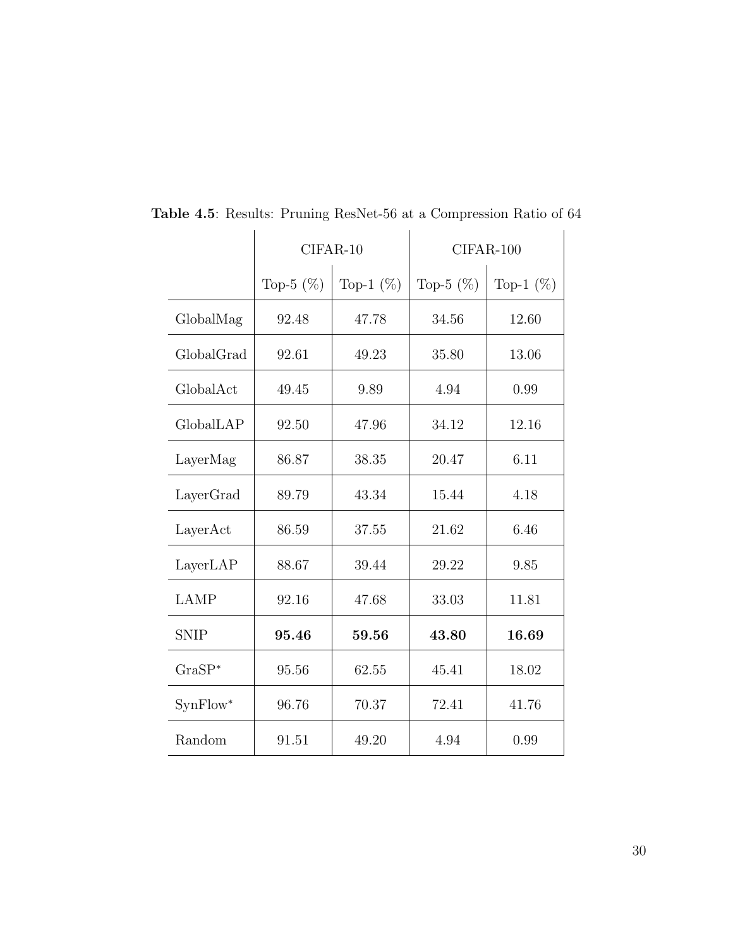|             |              | $CIFAR-10$   | $CIFAR-100$  |              |  |  |  |  |
|-------------|--------------|--------------|--------------|--------------|--|--|--|--|
|             | Top-5 $(\%)$ | Top-1 $(\%)$ | Top-5 $(\%)$ | Top-1 $(\%)$ |  |  |  |  |
| GlobalMag   | 92.48        | 47.78        | 34.56        | 12.60        |  |  |  |  |
| GlobalGrad  | 92.61        | 49.23        | 35.80        | 13.06        |  |  |  |  |
| GlobalAct   | 49.45        | 9.89         | 4.94         | 0.99         |  |  |  |  |
| GlobalLAP   | 92.50        | 47.96        | 34.12        | 12.16        |  |  |  |  |
| LayerMag    | 86.87        | 38.35        | 20.47        | 6.11         |  |  |  |  |
| LayerGrad   | 89.79        | 43.34        | 15.44        | 4.18         |  |  |  |  |
| LayerAct    | 86.59        | 37.55        | 21.62        | 6.46         |  |  |  |  |
| LayerLAP    | 88.67        | 39.44        | 29.22        | 9.85         |  |  |  |  |
| <b>LAMP</b> | 92.16        | 47.68        | 33.03        | 11.81        |  |  |  |  |
| <b>SNIP</b> | 95.46        | 59.56        | 43.80        | 16.69        |  |  |  |  |
| $GraSP*$    | 95.56        | 62.55        | 45.41        | 18.02        |  |  |  |  |
| SynFlow*    | 96.76        | 70.37        | 72.41        | 41.76        |  |  |  |  |
| Random      | 91.51        | 49.20        | 4.94         | 0.99         |  |  |  |  |

Table 4.5: Results: Pruning ResNet-56 at a Compression Ratio of 64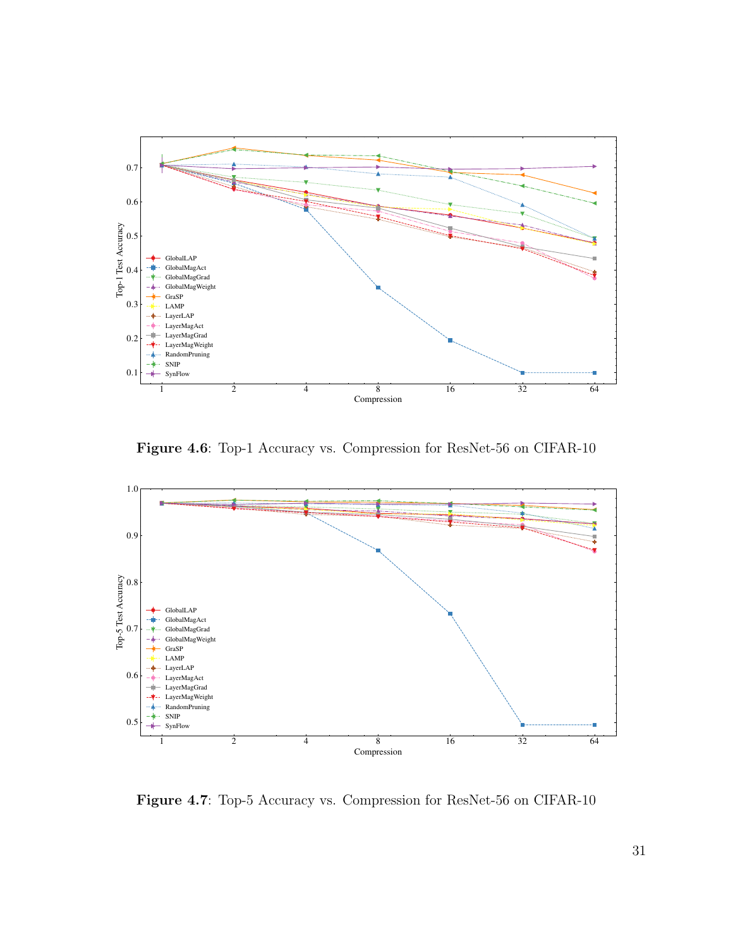

Figure 4.6: Top-1 Accuracy vs. Compression for ResNet-56 on CIFAR-10



Figure 4.7: Top-5 Accuracy vs. Compression for ResNet-56 on CIFAR-10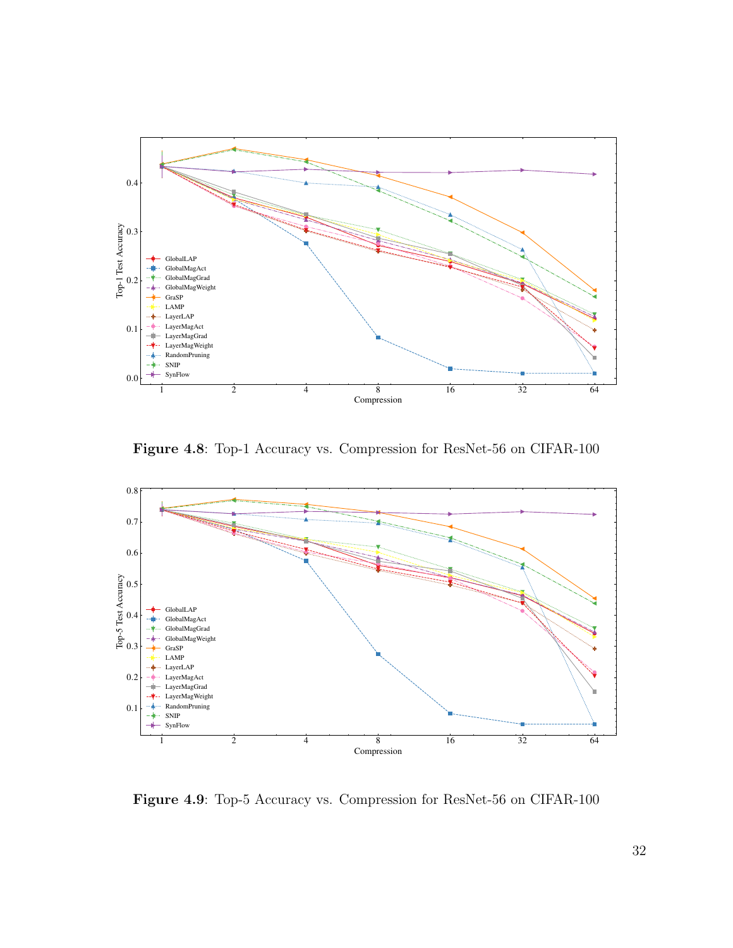

Figure 4.8: Top-1 Accuracy vs. Compression for ResNet-56 on CIFAR-100



Figure 4.9: Top-5 Accuracy vs. Compression for ResNet-56 on CIFAR-100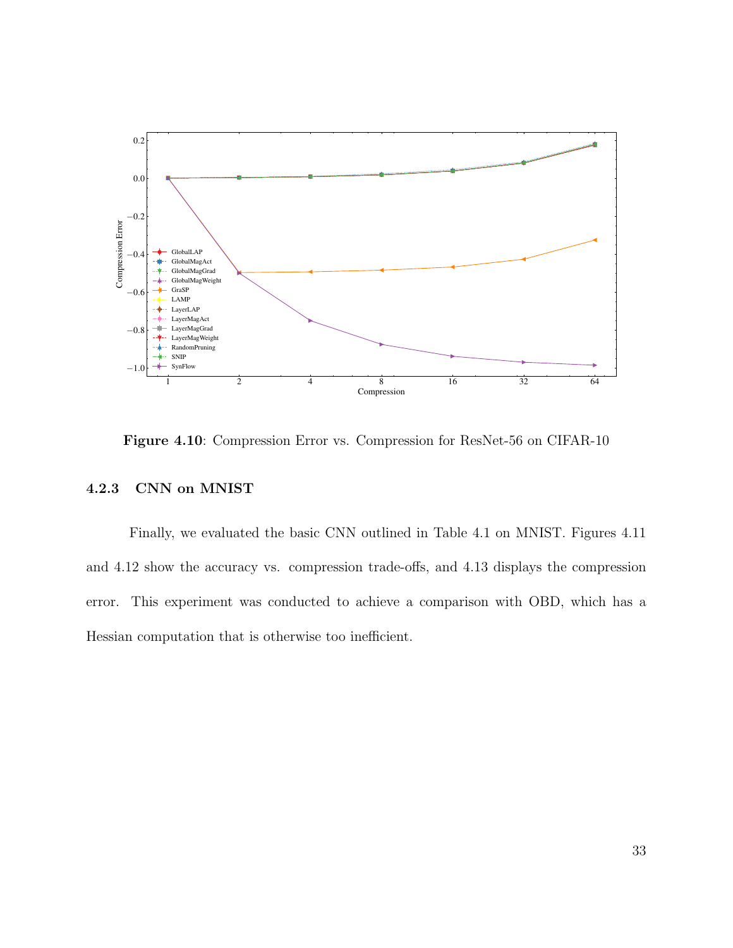

Figure 4.10: Compression Error vs. Compression for ResNet-56 on CIFAR-10

# 4.2.3 CNN on MNIST

Finally, we evaluated the basic CNN outlined in Table 4.1 on MNIST. Figures 4.11 and 4.12 show the accuracy vs. compression trade-offs, and 4.13 displays the compression error. This experiment was conducted to achieve a comparison with OBD, which has a Hessian computation that is otherwise too inefficient.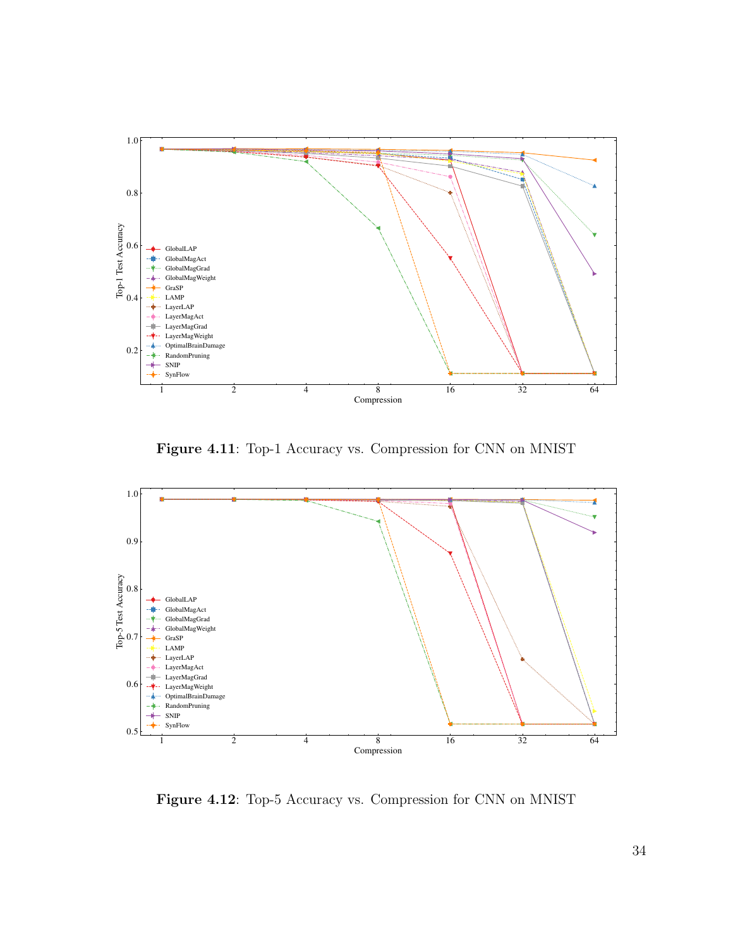

Figure 4.11: Top-1 Accuracy vs. Compression for CNN on MNIST



Figure 4.12: Top-5 Accuracy vs. Compression for CNN on MNIST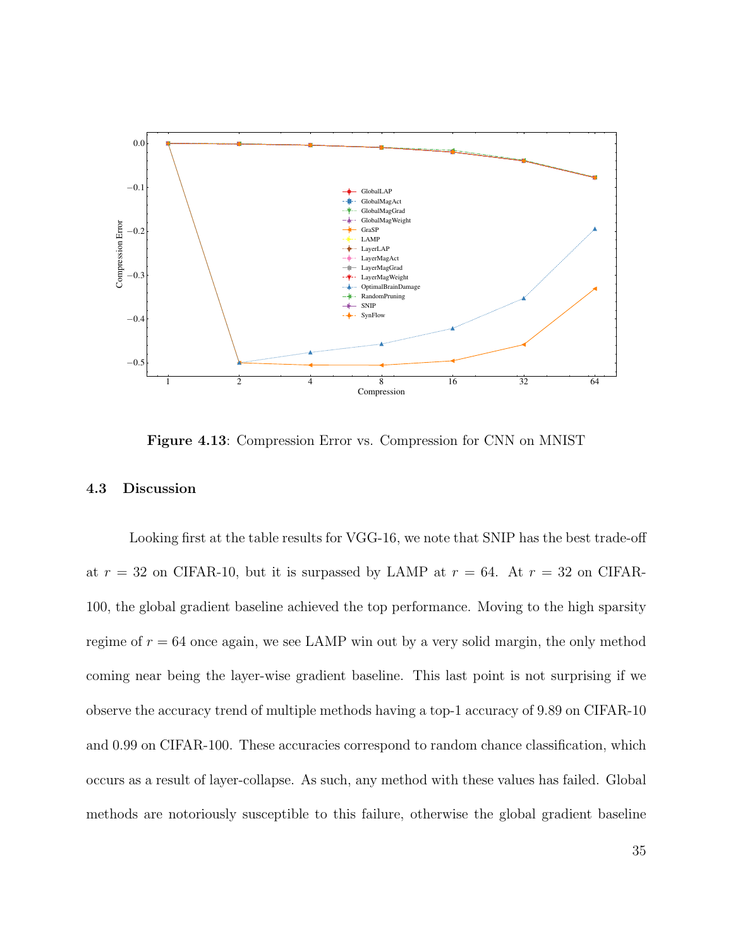

Figure 4.13: Compression Error vs. Compression for CNN on MNIST

#### 4.3 Discussion

Looking first at the table results for VGG-16, we note that SNIP has the best trade-off at  $r = 32$  on CIFAR-10, but it is surpassed by LAMP at  $r = 64$ . At  $r = 32$  on CIFAR-100, the global gradient baseline achieved the top performance. Moving to the high sparsity regime of  $r = 64$  once again, we see LAMP win out by a very solid margin, the only method coming near being the layer-wise gradient baseline. This last point is not surprising if we observe the accuracy trend of multiple methods having a top-1 accuracy of 9.89 on CIFAR-10 and 0.99 on CIFAR-100. These accuracies correspond to random chance classification, which occurs as a result of layer-collapse. As such, any method with these values has failed. Global methods are notoriously susceptible to this failure, otherwise the global gradient baseline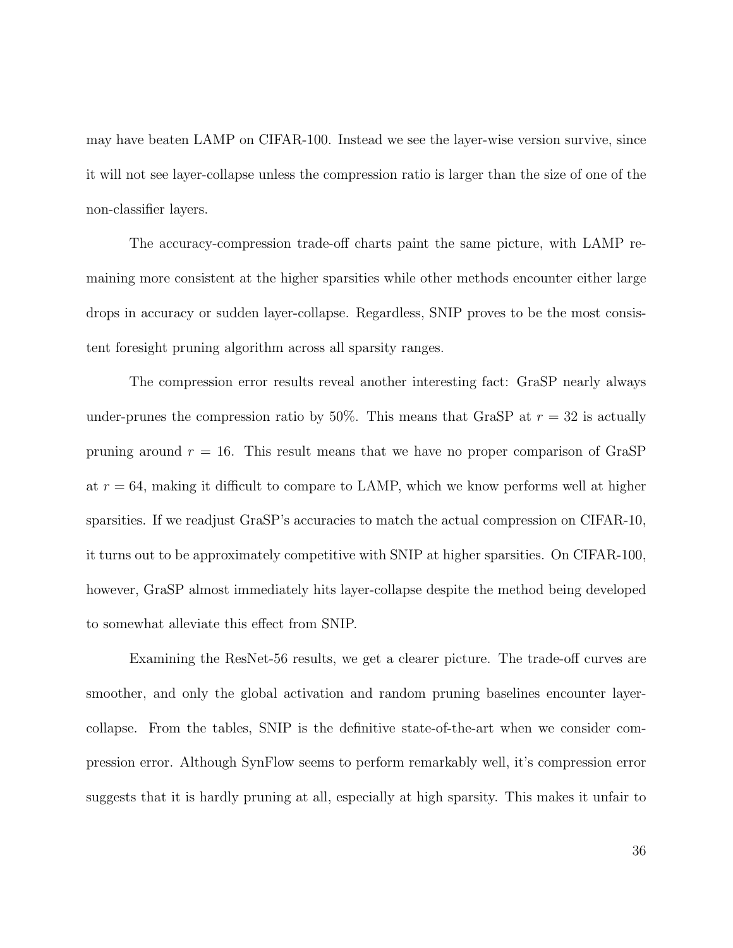may have beaten LAMP on CIFAR-100. Instead we see the layer-wise version survive, since it will not see layer-collapse unless the compression ratio is larger than the size of one of the non-classifier layers.

The accuracy-compression trade-off charts paint the same picture, with LAMP remaining more consistent at the higher sparsities while other methods encounter either large drops in accuracy or sudden layer-collapse. Regardless, SNIP proves to be the most consistent foresight pruning algorithm across all sparsity ranges.

The compression error results reveal another interesting fact: GraSP nearly always under-prunes the compression ratio by 50%. This means that GraSP at  $r = 32$  is actually pruning around  $r = 16$ . This result means that we have no proper comparison of GraSP at  $r = 64$ , making it difficult to compare to LAMP, which we know performs well at higher sparsities. If we readjust GraSP's accuracies to match the actual compression on CIFAR-10, it turns out to be approximately competitive with SNIP at higher sparsities. On CIFAR-100, however, GraSP almost immediately hits layer-collapse despite the method being developed to somewhat alleviate this effect from SNIP.

Examining the ResNet-56 results, we get a clearer picture. The trade-off curves are smoother, and only the global activation and random pruning baselines encounter layercollapse. From the tables, SNIP is the definitive state-of-the-art when we consider compression error. Although SynFlow seems to perform remarkably well, it's compression error suggests that it is hardly pruning at all, especially at high sparsity. This makes it unfair to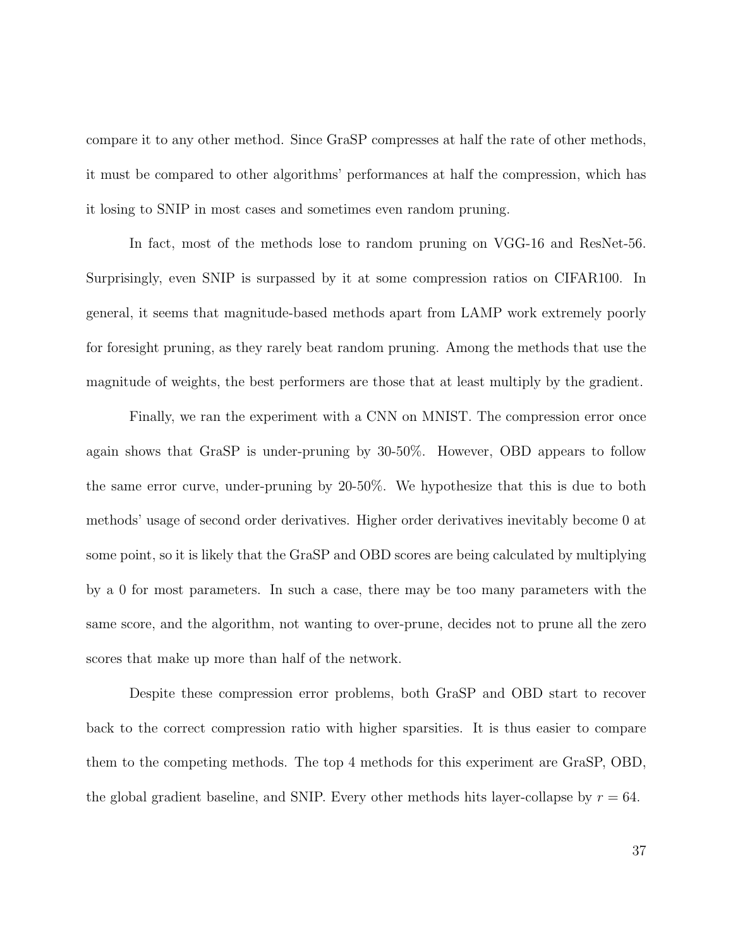compare it to any other method. Since GraSP compresses at half the rate of other methods, it must be compared to other algorithms' performances at half the compression, which has it losing to SNIP in most cases and sometimes even random pruning.

In fact, most of the methods lose to random pruning on VGG-16 and ResNet-56. Surprisingly, even SNIP is surpassed by it at some compression ratios on CIFAR100. In general, it seems that magnitude-based methods apart from LAMP work extremely poorly for foresight pruning, as they rarely beat random pruning. Among the methods that use the magnitude of weights, the best performers are those that at least multiply by the gradient.

Finally, we ran the experiment with a CNN on MNIST. The compression error once again shows that GraSP is under-pruning by 30-50%. However, OBD appears to follow the same error curve, under-pruning by 20-50%. We hypothesize that this is due to both methods' usage of second order derivatives. Higher order derivatives inevitably become 0 at some point, so it is likely that the GraSP and OBD scores are being calculated by multiplying by a 0 for most parameters. In such a case, there may be too many parameters with the same score, and the algorithm, not wanting to over-prune, decides not to prune all the zero scores that make up more than half of the network.

Despite these compression error problems, both GraSP and OBD start to recover back to the correct compression ratio with higher sparsities. It is thus easier to compare them to the competing methods. The top 4 methods for this experiment are GraSP, OBD, the global gradient baseline, and SNIP. Every other methods hits layer-collapse by  $r = 64$ .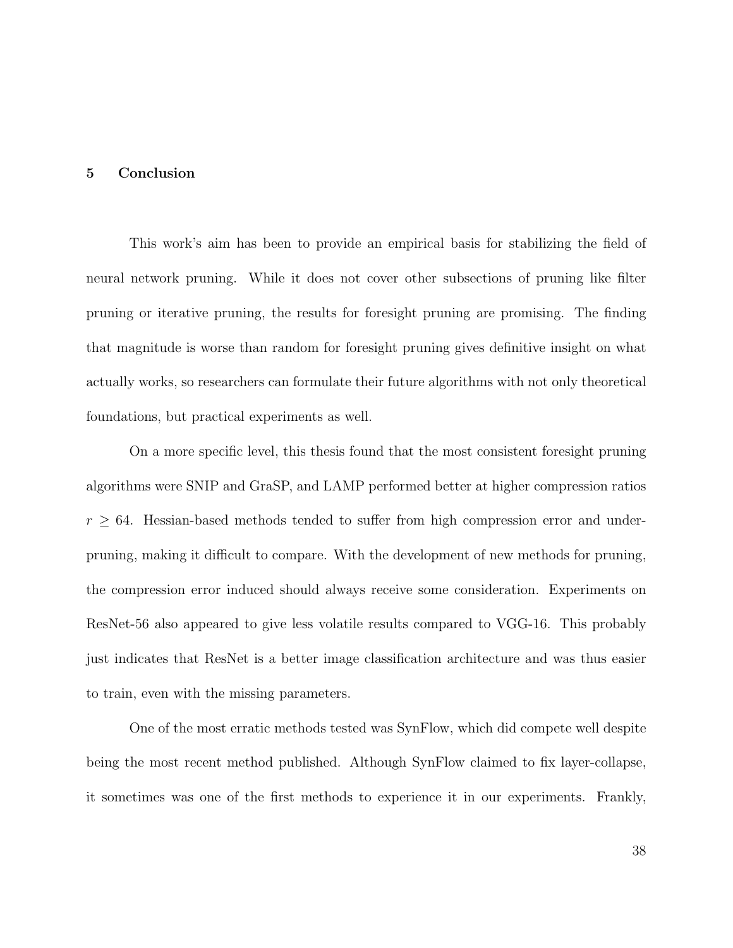#### 5 Conclusion

This work's aim has been to provide an empirical basis for stabilizing the field of neural network pruning. While it does not cover other subsections of pruning like filter pruning or iterative pruning, the results for foresight pruning are promising. The finding that magnitude is worse than random for foresight pruning gives definitive insight on what actually works, so researchers can formulate their future algorithms with not only theoretical foundations, but practical experiments as well.

On a more specific level, this thesis found that the most consistent foresight pruning algorithms were SNIP and GraSP, and LAMP performed better at higher compression ratios  $r \geq 64$ . Hessian-based methods tended to suffer from high compression error and underpruning, making it difficult to compare. With the development of new methods for pruning, the compression error induced should always receive some consideration. Experiments on ResNet-56 also appeared to give less volatile results compared to VGG-16. This probably just indicates that ResNet is a better image classification architecture and was thus easier to train, even with the missing parameters.

One of the most erratic methods tested was SynFlow, which did compete well despite being the most recent method published. Although SynFlow claimed to fix layer-collapse, it sometimes was one of the first methods to experience it in our experiments. Frankly,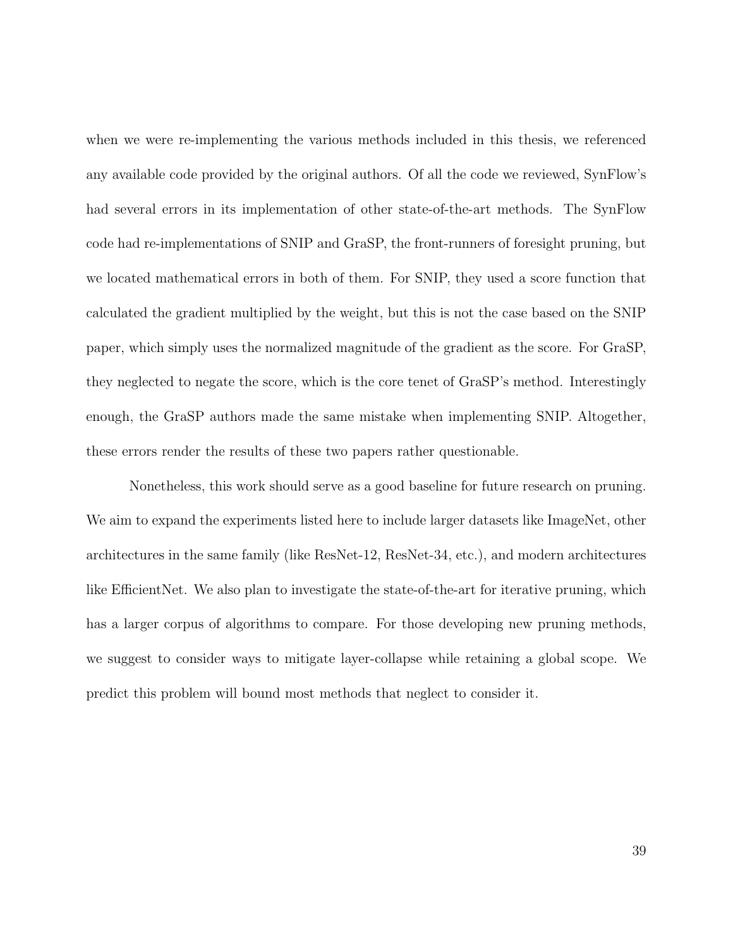when we were re-implementing the various methods included in this thesis, we referenced any available code provided by the original authors. Of all the code we reviewed, SynFlow's had several errors in its implementation of other state-of-the-art methods. The SynFlow code had re-implementations of SNIP and GraSP, the front-runners of foresight pruning, but we located mathematical errors in both of them. For SNIP, they used a score function that calculated the gradient multiplied by the weight, but this is not the case based on the SNIP paper, which simply uses the normalized magnitude of the gradient as the score. For GraSP, they neglected to negate the score, which is the core tenet of GraSP's method. Interestingly enough, the GraSP authors made the same mistake when implementing SNIP. Altogether, these errors render the results of these two papers rather questionable.

Nonetheless, this work should serve as a good baseline for future research on pruning. We aim to expand the experiments listed here to include larger datasets like ImageNet, other architectures in the same family (like ResNet-12, ResNet-34, etc.), and modern architectures like EfficientNet. We also plan to investigate the state-of-the-art for iterative pruning, which has a larger corpus of algorithms to compare. For those developing new pruning methods, we suggest to consider ways to mitigate layer-collapse while retaining a global scope. We predict this problem will bound most methods that neglect to consider it.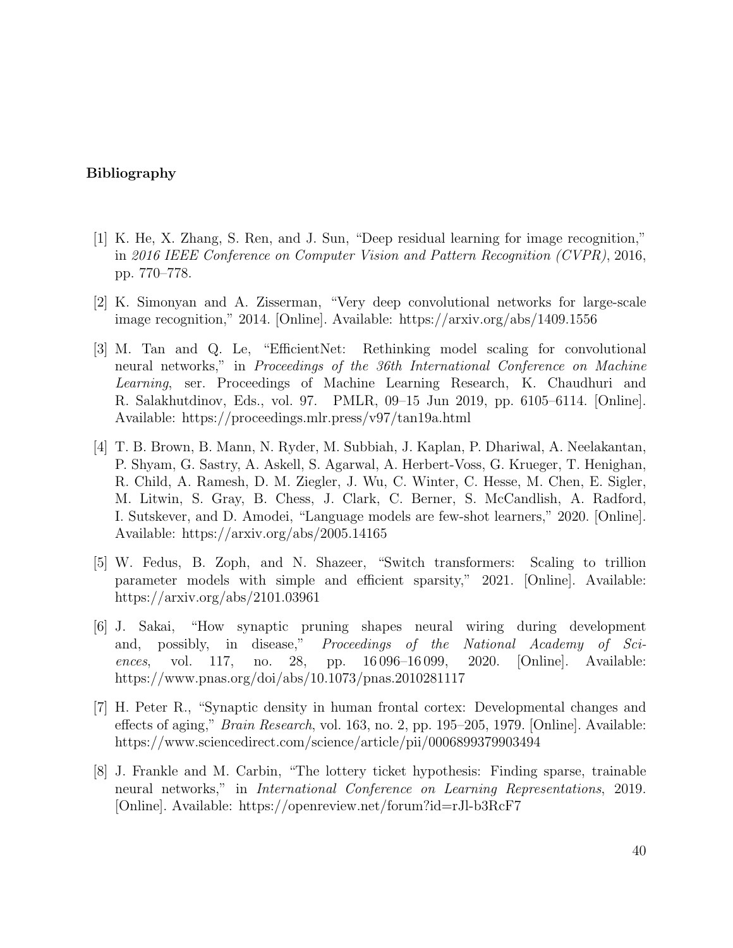#### Bibliography

- [1] K. He, X. Zhang, S. Ren, and J. Sun, "Deep residual learning for image recognition," in 2016 IEEE Conference on Computer Vision and Pattern Recognition (CVPR), 2016, pp. 770–778.
- [2] K. Simonyan and A. Zisserman, "Very deep convolutional networks for large-scale image recognition," 2014. [Online]. Available: https://arxiv.org/abs/1409.1556
- [3] M. Tan and Q. Le, "EfficientNet: Rethinking model scaling for convolutional neural networks," in Proceedings of the 36th International Conference on Machine Learning, ser. Proceedings of Machine Learning Research, K. Chaudhuri and R. Salakhutdinov, Eds., vol. 97. PMLR, 09–15 Jun 2019, pp. 6105–6114. [Online]. Available: https://proceedings.mlr.press/v97/tan19a.html
- [4] T. B. Brown, B. Mann, N. Ryder, M. Subbiah, J. Kaplan, P. Dhariwal, A. Neelakantan, P. Shyam, G. Sastry, A. Askell, S. Agarwal, A. Herbert-Voss, G. Krueger, T. Henighan, R. Child, A. Ramesh, D. M. Ziegler, J. Wu, C. Winter, C. Hesse, M. Chen, E. Sigler, M. Litwin, S. Gray, B. Chess, J. Clark, C. Berner, S. McCandlish, A. Radford, I. Sutskever, and D. Amodei, "Language models are few-shot learners," 2020. [Online]. Available: https://arxiv.org/abs/2005.14165
- [5] W. Fedus, B. Zoph, and N. Shazeer, "Switch transformers: Scaling to trillion parameter models with simple and efficient sparsity," 2021. [Online]. Available: https://arxiv.org/abs/2101.03961
- [6] J. Sakai, "How synaptic pruning shapes neural wiring during development and, possibly, in disease," Proceedings of the National Academy of Sciences, vol. 117, no. 28, pp. 16 096–16 099, 2020. [Online]. Available: https://www.pnas.org/doi/abs/10.1073/pnas.2010281117
- [7] H. Peter R., "Synaptic density in human frontal cortex: Developmental changes and effects of aging," Brain Research, vol. 163, no. 2, pp. 195–205, 1979. [Online]. Available: https://www.sciencedirect.com/science/article/pii/0006899379903494
- [8] J. Frankle and M. Carbin, "The lottery ticket hypothesis: Finding sparse, trainable neural networks," in International Conference on Learning Representations, 2019. [Online]. Available: https://openreview.net/forum?id=rJl-b3RcF7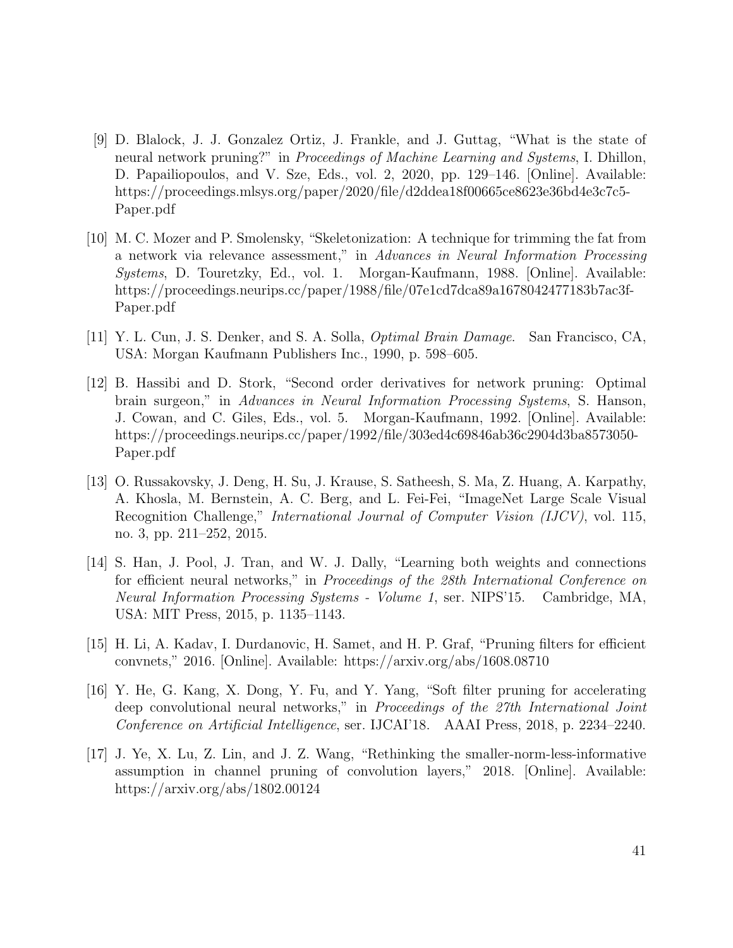- [9] D. Blalock, J. J. Gonzalez Ortiz, J. Frankle, and J. Guttag, "What is the state of neural network pruning?" in Proceedings of Machine Learning and Systems, I. Dhillon, D. Papailiopoulos, and V. Sze, Eds., vol. 2, 2020, pp. 129–146. [Online]. Available: https://proceedings.mlsys.org/paper/2020/file/d2ddea18f00665ce8623e36bd4e3c7c5- Paper.pdf
- [10] M. C. Mozer and P. Smolensky, "Skeletonization: A technique for trimming the fat from a network via relevance assessment," in Advances in Neural Information Processing Systems, D. Touretzky, Ed., vol. 1. Morgan-Kaufmann, 1988. [Online]. Available: https://proceedings.neurips.cc/paper/1988/file/07e1cd7dca89a1678042477183b7ac3f-Paper.pdf
- [11] Y. L. Cun, J. S. Denker, and S. A. Solla, Optimal Brain Damage. San Francisco, CA, USA: Morgan Kaufmann Publishers Inc., 1990, p. 598–605.
- [12] B. Hassibi and D. Stork, "Second order derivatives for network pruning: Optimal brain surgeon," in Advances in Neural Information Processing Systems, S. Hanson, J. Cowan, and C. Giles, Eds., vol. 5. Morgan-Kaufmann, 1992. [Online]. Available: https://proceedings.neurips.cc/paper/1992/file/303ed4c69846ab36c2904d3ba8573050- Paper.pdf
- [13] O. Russakovsky, J. Deng, H. Su, J. Krause, S. Satheesh, S. Ma, Z. Huang, A. Karpathy, A. Khosla, M. Bernstein, A. C. Berg, and L. Fei-Fei, "ImageNet Large Scale Visual Recognition Challenge," *International Journal of Computer Vision (IJCV)*, vol. 115, no. 3, pp. 211–252, 2015.
- [14] S. Han, J. Pool, J. Tran, and W. J. Dally, "Learning both weights and connections for efficient neural networks," in Proceedings of the 28th International Conference on Neural Information Processing Systems - Volume 1, ser. NIPS'15. Cambridge, MA, USA: MIT Press, 2015, p. 1135–1143.
- [15] H. Li, A. Kadav, I. Durdanovic, H. Samet, and H. P. Graf, "Pruning filters for efficient convnets," 2016. [Online]. Available: https://arxiv.org/abs/1608.08710
- [16] Y. He, G. Kang, X. Dong, Y. Fu, and Y. Yang, "Soft filter pruning for accelerating deep convolutional neural networks," in *Proceedings of the 27th International Joint* Conference on Artificial Intelligence, ser. IJCAI'18. AAAI Press, 2018, p. 2234–2240.
- [17] J. Ye, X. Lu, Z. Lin, and J. Z. Wang, "Rethinking the smaller-norm-less-informative assumption in channel pruning of convolution layers," 2018. [Online]. Available: https://arxiv.org/abs/1802.00124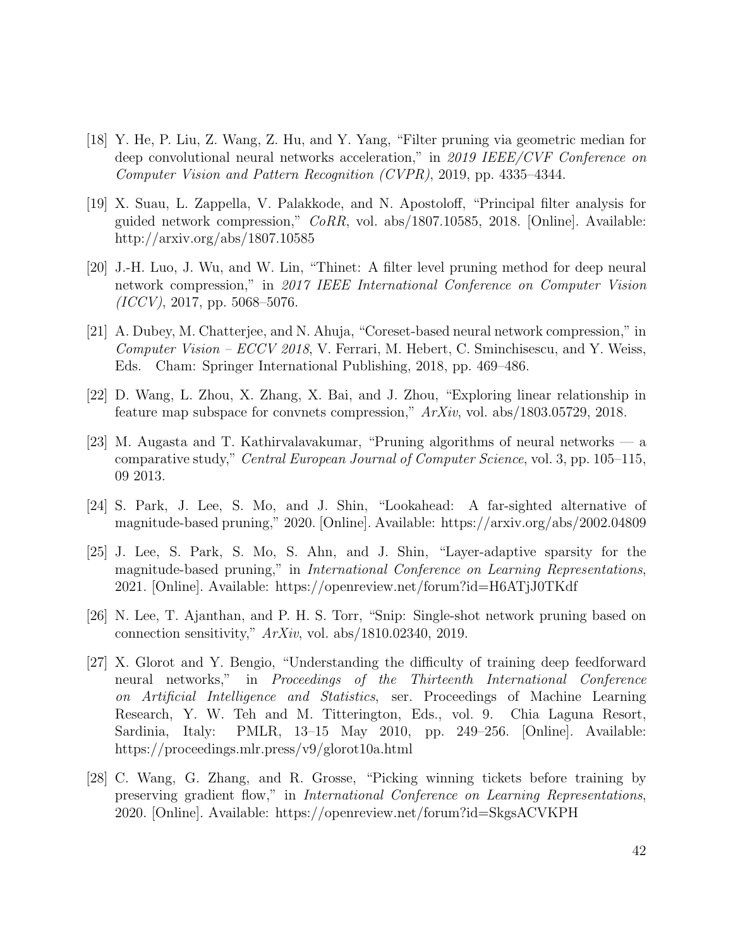- [18] Y. He, P. Liu, Z. Wang, Z. Hu, and Y. Yang, "Filter pruning via geometric median for deep convolutional neural networks acceleration," in 2019 IEEE/CVF Conference on Computer Vision and Pattern Recognition (CVPR), 2019, pp. 4335–4344.
- [19] X. Suau, L. Zappella, V. Palakkode, and N. Apostoloff, "Principal filter analysis for guided network compression," CoRR, vol. abs/1807.10585, 2018. [Online]. Available: http://arxiv.org/abs/1807.10585
- [20] J.-H. Luo, J. Wu, and W. Lin, "Thinet: A filter level pruning method for deep neural network compression," in 2017 IEEE International Conference on Computer Vision  $(ICCV), 2017, pp. 5068-5076.$
- [21] A. Dubey, M. Chatterjee, and N. Ahuja, "Coreset-based neural network compression," in Computer Vision – ECCV 2018, V. Ferrari, M. Hebert, C. Sminchisescu, and Y. Weiss, Eds. Cham: Springer International Publishing, 2018, pp. 469–486.
- [22] D. Wang, L. Zhou, X. Zhang, X. Bai, and J. Zhou, "Exploring linear relationship in feature map subspace for convnets compression,"  $ArXiv$ , vol. abs/1803.05729, 2018.
- [23] M. Augasta and T. Kathirvalavakumar, "Pruning algorithms of neural networks a comparative study," Central European Journal of Computer Science, vol. 3, pp. 105–115, 09 2013.
- [24] S. Park, J. Lee, S. Mo, and J. Shin, "Lookahead: A far-sighted alternative of magnitude-based pruning," 2020. [Online]. Available: https://arxiv.org/abs/2002.04809
- [25] J. Lee, S. Park, S. Mo, S. Ahn, and J. Shin, "Layer-adaptive sparsity for the magnitude-based pruning," in International Conference on Learning Representations, 2021. [Online]. Available: https://openreview.net/forum?id=H6ATjJ0TKdf
- [26] N. Lee, T. Ajanthan, and P. H. S. Torr, "Snip: Single-shot network pruning based on connection sensitivity,"  $ArXiv$ , vol. abs/1810.02340, 2019.
- [27] X. Glorot and Y. Bengio, "Understanding the difficulty of training deep feedforward neural networks," in Proceedings of the Thirteenth International Conference on Artificial Intelligence and Statistics, ser. Proceedings of Machine Learning Research, Y. W. Teh and M. Titterington, Eds., vol. 9. Chia Laguna Resort, Sardinia, Italy: PMLR, 13–15 May 2010, pp. 249–256. [Online]. Available: https://proceedings.mlr.press/v9/glorot10a.html
- [28] C. Wang, G. Zhang, and R. Grosse, "Picking winning tickets before training by preserving gradient flow," in *International Conference on Learning Representations*, 2020. [Online]. Available: https://openreview.net/forum?id=SkgsACVKPH